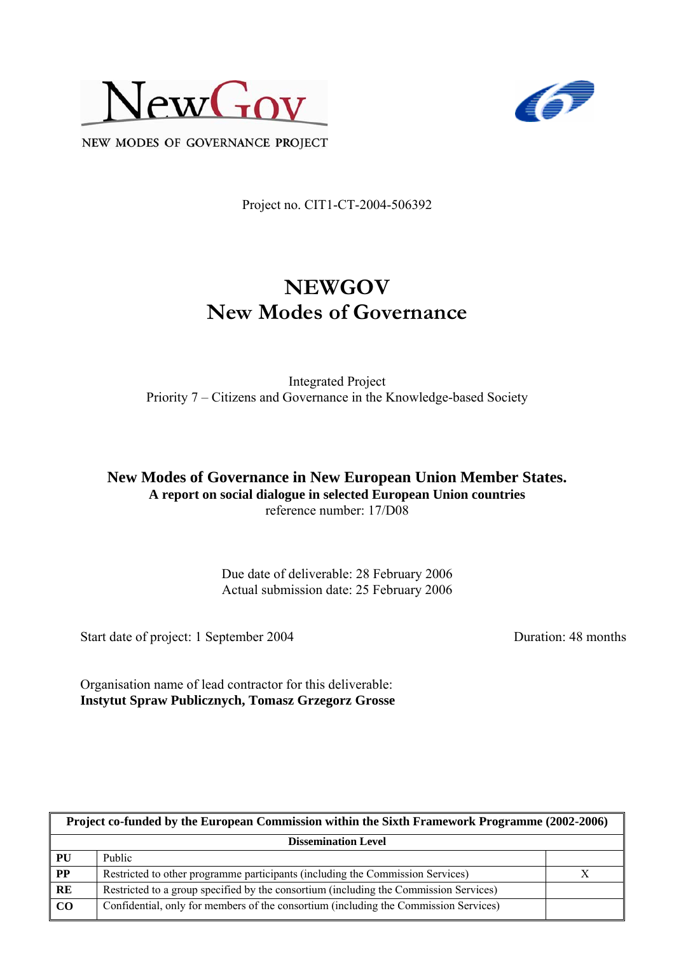



NEW MODES OF GOVERNANCE PROJECT

Project no. CIT1-CT-2004-506392

# **NEWGOV New Modes of Governance**

Integrated Project Priority 7 – Citizens and Governance in the Knowledge-based Society

**New Modes of Governance in New European Union Member States. A report on social dialogue in selected European Union countries** reference number: 17/D08

> Due date of deliverable: 28 February 2006 Actual submission date: 25 February 2006

Start date of project: 1 September 2004 Duration: 48 months

Organisation name of lead contractor for this deliverable: **Instytut Spraw Publicznych, Tomasz Grzegorz Grosse** 

| Project co-funded by the European Commission within the Sixth Framework Programme (2002-2006) |                                                                                       |  |  |  |
|-----------------------------------------------------------------------------------------------|---------------------------------------------------------------------------------------|--|--|--|
| <b>Dissemination Level</b>                                                                    |                                                                                       |  |  |  |
| PU                                                                                            | <b>Public</b>                                                                         |  |  |  |
| $\overline{PP}$                                                                               | Restricted to other programme participants (including the Commission Services)        |  |  |  |
| RE                                                                                            | Restricted to a group specified by the consortium (including the Commission Services) |  |  |  |
| CO                                                                                            | Confidential, only for members of the consortium (including the Commission Services)  |  |  |  |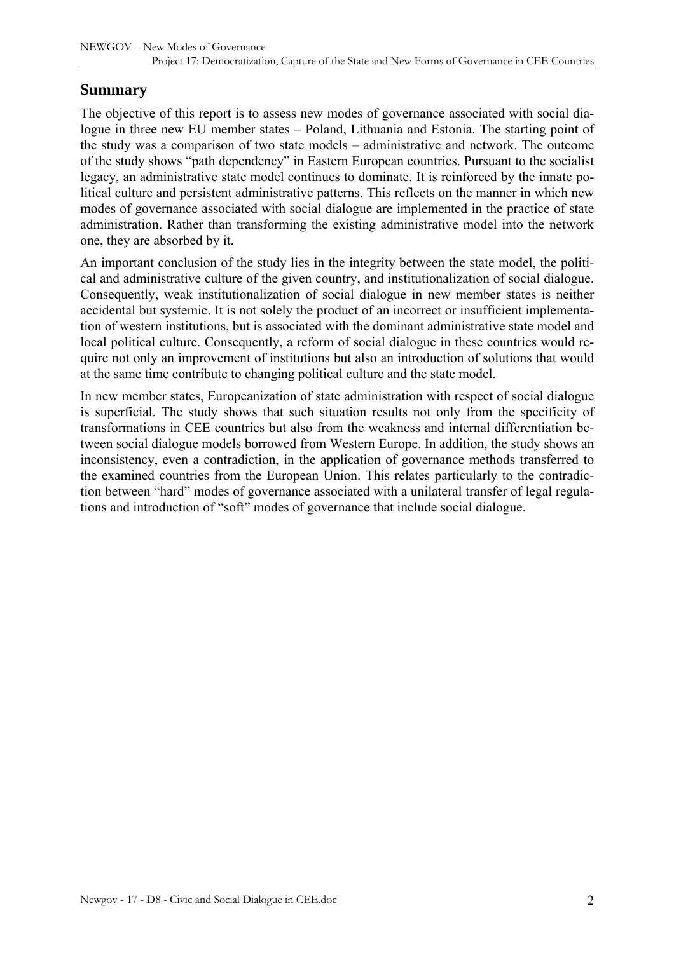#### **Summary**

The objective of this report is to assess new modes of governance associated with social dialogue in three new EU member states – Poland, Lithuania and Estonia. The starting point of the study was a comparison of two state models – administrative and network. The outcome of the study shows "path dependency" in Eastern European countries. Pursuant to the socialist legacy, an administrative state model continues to dominate. It is reinforced by the innate political culture and persistent administrative patterns. This reflects on the manner in which new modes of governance associated with social dialogue are implemented in the practice of state administration. Rather than transforming the existing administrative model into the network one, they are absorbed by it.

An important conclusion of the study lies in the integrity between the state model, the political and administrative culture of the given country, and institutionalization of social dialogue. Consequently, weak institutionalization of social dialogue in new member states is neither accidental but systemic. It is not solely the product of an incorrect or insufficient implementation of western institutions, but is associated with the dominant administrative state model and local political culture. Consequently, a reform of social dialogue in these countries would require not only an improvement of institutions but also an introduction of solutions that would at the same time contribute to changing political culture and the state model.

In new member states, Europeanization of state administration with respect of social dialogue is superficial. The study shows that such situation results not only from the specificity of transformations in CEE countries but also from the weakness and internal differentiation between social dialogue models borrowed from Western Europe. In addition, the study shows an inconsistency, even a contradiction, in the application of governance methods transferred to the examined countries from the European Union. This relates particularly to the contradiction between "hard" modes of governance associated with a unilateral transfer of legal regulations and introduction of "soft" modes of governance that include social dialogue.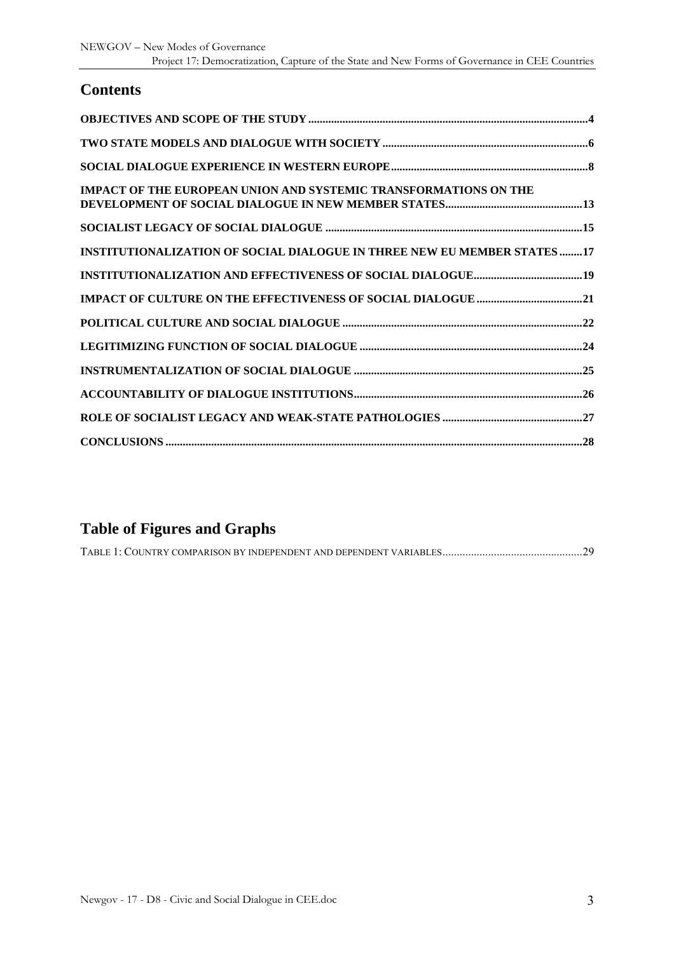## **Contents**

| <b>IMPACT OF THE EUROPEAN UNION AND SYSTEMIC TRANSFORMATIONS ON THE</b> |
|-------------------------------------------------------------------------|
|                                                                         |
| INSTITUTIONALIZATION OF SOCIAL DIALOGUE IN THREE NEW EU MEMBER STATES17 |
|                                                                         |
|                                                                         |
|                                                                         |
|                                                                         |
|                                                                         |
|                                                                         |
|                                                                         |
|                                                                         |

## **Table of Figures and Graphs**

|--|--|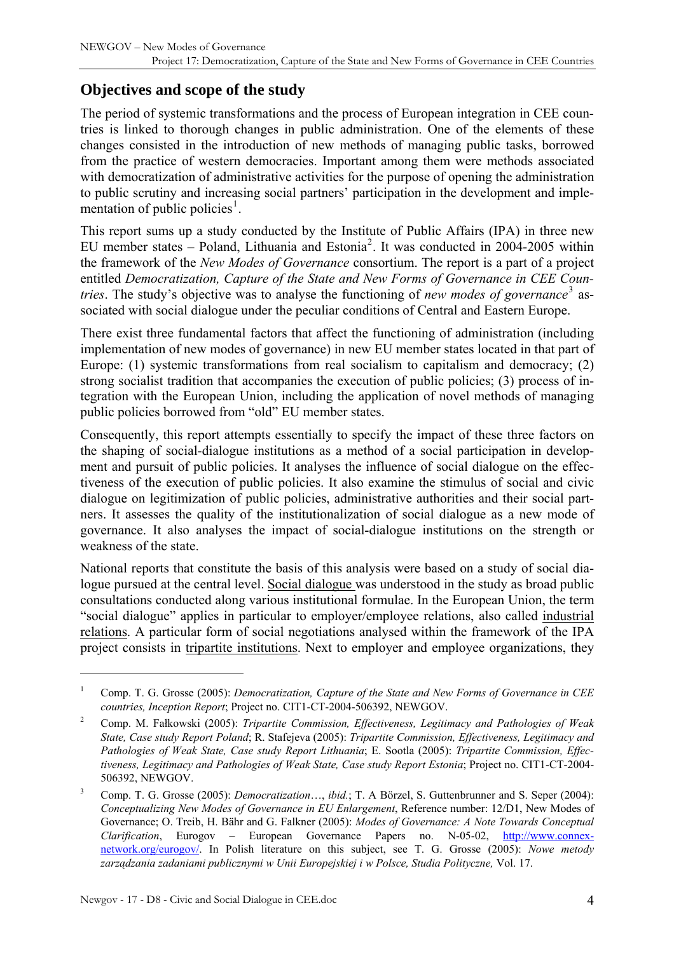## <span id="page-3-0"></span>**Objectives and scope of the study**

The period of systemic transformations and the process of European integration in CEE countries is linked to thorough changes in public administration. One of the elements of these changes consisted in the introduction of new methods of managing public tasks, borrowed from the practice of western democracies. Important among them were methods associated with democratization of administrative activities for the purpose of opening the administration to public scrutiny and increasing social partners' participation in the development and imple-mentation of public policies<sup>[1](#page-3-1)</sup>.

This report sums up a study conducted by the Institute of Public Affairs (IPA) in three new EU member states  $-$  Poland, Lithuania and Estonia<sup>[2](#page-3-2)</sup>. It was conducted in 2004-2005 within the framework of the *New Modes of Governance* consortium. The report is a part of a project entitled *Democratization, Capture of the State and New Forms of Governance in CEE Countries*. The study's objective was to analyse the functioning of *new modes of governance*<sup>[3](#page-3-3)</sup> associated with social dialogue under the peculiar conditions of Central and Eastern Europe.

There exist three fundamental factors that affect the functioning of administration (including implementation of new modes of governance) in new EU member states located in that part of Europe: (1) systemic transformations from real socialism to capitalism and democracy; (2) strong socialist tradition that accompanies the execution of public policies; (3) process of integration with the European Union, including the application of novel methods of managing public policies borrowed from "old" EU member states.

Consequently, this report attempts essentially to specify the impact of these three factors on the shaping of social-dialogue institutions as a method of a social participation in development and pursuit of public policies. It analyses the influence of social dialogue on the effectiveness of the execution of public policies. It also examine the stimulus of social and civic dialogue on legitimization of public policies, administrative authorities and their social partners. It assesses the quality of the institutionalization of social dialogue as a new mode of governance. It also analyses the impact of social-dialogue institutions on the strength or weakness of the state.

National reports that constitute the basis of this analysis were based on a study of social dialogue pursued at the central level. Social dialogue was understood in the study as broad public consultations conducted along various institutional formulae. In the European Union, the term "social dialogue" applies in particular to employer/employee relations, also called industrial relations. A particular form of social negotiations analysed within the framework of the IPA project consists in tripartite institutions. Next to employer and employee organizations, they

<span id="page-3-1"></span><sup>1</sup> Comp. T. G. Grosse (2005): *Democratization, Capture of the State and New Forms of Governance in CEE countries, Inception Report*; Project no. CIT1-CT-2004-506392, NEWGOV.

<span id="page-3-2"></span><sup>2</sup> Comp. M. Fałkowski (2005): *Tripartite Commission, Effectiveness, Legitimacy and Pathologies of Weak State, Case study Report Poland*; R. Stafejeva (2005): *Tripartite Commission, Effectiveness, Legitimacy and Pathologies of Weak State, Case study Report Lithuania*; E. Sootla (2005): *Tripartite Commission, Effectiveness, Legitimacy and Pathologies of Weak State, Case study Report Estonia*; Project no. CIT1-CT-2004- 506392, NEWGOV.

<span id="page-3-3"></span><sup>3</sup> Comp. T. G. Grosse (2005): *Democratization*…, *ibid.*; T. A Börzel, S. Guttenbrunner and S. Seper (2004): *Conceptualizing New Modes of Governance in EU Enlargement*, Reference number: 12/D1, New Modes of Governance; O. Treib, H. Bähr and G. Falkner (2005): *Modes of Governance: A Note Towards Conceptual Clarification*, Eurogov – European Governance Papers no. N-05-02, [http://www.connex](http://www.connex-network.org/eurogov/)[network.org/eurogov/.](http://www.connex-network.org/eurogov/) In Polish literature on this subject, see T. G. Grosse (2005): *Nowe metody zarządzania zadaniami publicznymi w Unii Europejskiej i w Polsce, Studia Polityczne,* Vol. 17.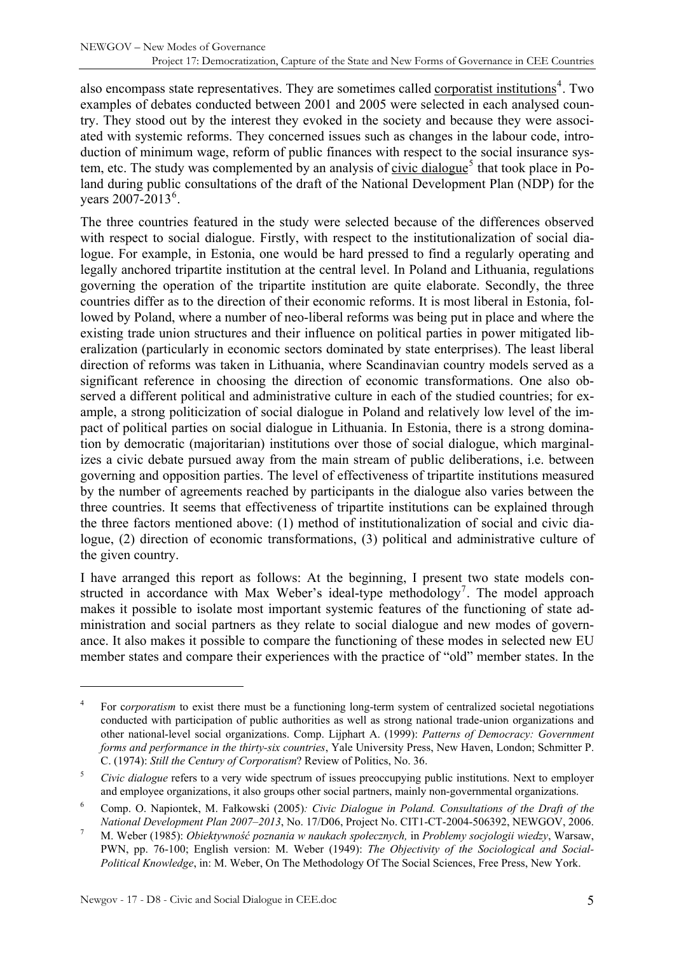also encompass state representatives. They are sometimes called corporatist institutions<sup>[4](#page-4-0)</sup>. Two examples of debates conducted between 2001 and 2005 were selected in each analysed country. They stood out by the interest they evoked in the society and because they were associated with systemic reforms. They concerned issues such as changes in the labour code, introduction of minimum wage, reform of public finances with respect to the social insurance sys-tem, etc. The study was complemented by an analysis of civic dialogue<sup>[5](#page-4-1)</sup> that took place in Poland during public consultations of the draft of the National Development Plan (NDP) for the years  $2007 - 2013^6$  $2007 - 2013^6$ .

The three countries featured in the study were selected because of the differences observed with respect to social dialogue. Firstly, with respect to the institutionalization of social dialogue. For example, in Estonia, one would be hard pressed to find a regularly operating and legally anchored tripartite institution at the central level. In Poland and Lithuania, regulations governing the operation of the tripartite institution are quite elaborate. Secondly, the three countries differ as to the direction of their economic reforms. It is most liberal in Estonia, followed by Poland, where a number of neo-liberal reforms was being put in place and where the existing trade union structures and their influence on political parties in power mitigated liberalization (particularly in economic sectors dominated by state enterprises). The least liberal direction of reforms was taken in Lithuania, where Scandinavian country models served as a significant reference in choosing the direction of economic transformations. One also observed a different political and administrative culture in each of the studied countries; for example, a strong politicization of social dialogue in Poland and relatively low level of the impact of political parties on social dialogue in Lithuania. In Estonia, there is a strong domination by democratic (majoritarian) institutions over those of social dialogue, which marginalizes a civic debate pursued away from the main stream of public deliberations, i.e. between governing and opposition parties. The level of effectiveness of tripartite institutions measured by the number of agreements reached by participants in the dialogue also varies between the three countries. It seems that effectiveness of tripartite institutions can be explained through the three factors mentioned above: (1) method of institutionalization of social and civic dialogue, (2) direction of economic transformations, (3) political and administrative culture of the given country.

I have arranged this report as follows: At the beginning, I present two state models con-structed in accordance with Max Weber's ideal-type methodology<sup>[7](#page-4-3)</sup>. The model approach makes it possible to isolate most important systemic features of the functioning of state administration and social partners as they relate to social dialogue and new modes of governance. It also makes it possible to compare the functioning of these modes in selected new EU member states and compare their experiences with the practice of "old" member states. In the

<span id="page-4-0"></span><sup>4</sup> For c*orporatism* to exist there must be a functioning long-term system of centralized societal negotiations conducted with participation of public authorities as well as strong national trade-union organizations and other national-level social organizations. Comp. Lijphart A. (1999): *Patterns of Democracy: Government forms and performance in the thirty-six countries*, Yale University Press, New Haven, London; Schmitter P. C. (1974): *Still the Century of Corporatism*? Review of Politics, No. 36.

<span id="page-4-1"></span><sup>5</sup> *Civic dialogue* refers to a very wide spectrum of issues preoccupying public institutions. Next to employer and employee organizations, it also groups other social partners, mainly non-governmental organizations.

<span id="page-4-2"></span><sup>6</sup> Comp. O. Napiontek, M. Fałkowski (2005)*: Civic Dialogue in Poland. Consultations of the Draft of the National Development Plan 2007–2013*, No. 17/D06, Project No. CIT1-CT-2004-506392, NEWGOV, 2006. 7

<span id="page-4-3"></span>M. Weber (1985): *Obiektywność poznania w naukach społecznych,* in *Problemy socjologii wiedzy*, Warsaw, PWN, pp. 76-100; English version: M. Weber (1949): *The Objectivity of the Sociological and Social-Political Knowledge*, in: M. Weber, On The Methodology Of The Social Sciences, Free Press, New York.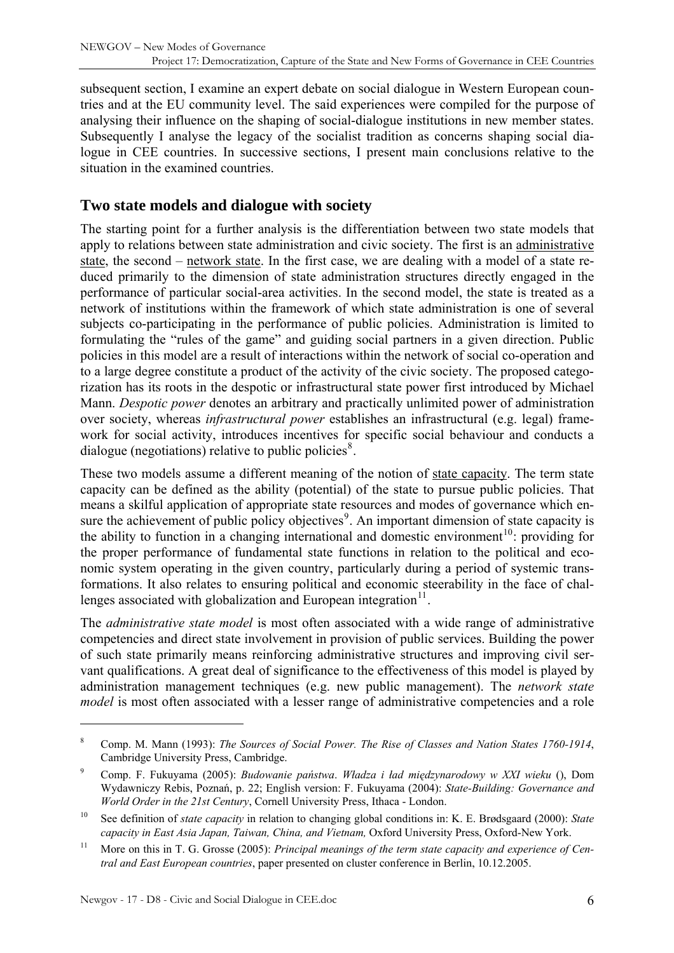<span id="page-5-0"></span>subsequent section, I examine an expert debate on social dialogue in Western European countries and at the EU community level. The said experiences were compiled for the purpose of analysing their influence on the shaping of social-dialogue institutions in new member states. Subsequently I analyse the legacy of the socialist tradition as concerns shaping social dialogue in CEE countries. In successive sections, I present main conclusions relative to the situation in the examined countries.

#### **Two state models and dialogue with society**

The starting point for a further analysis is the differentiation between two state models that apply to relations between state administration and civic society. The first is an administrative state, the second – network state. In the first case, we are dealing with a model of a state reduced primarily to the dimension of state administration structures directly engaged in the performance of particular social-area activities. In the second model, the state is treated as a network of institutions within the framework of which state administration is one of several subjects co-participating in the performance of public policies. Administration is limited to formulating the "rules of the game" and guiding social partners in a given direction. Public policies in this model are a result of interactions within the network of social co-operation and to a large degree constitute a product of the activity of the civic society. The proposed categorization has its roots in the despotic or infrastructural state power first introduced by Michael Mann. *Despotic power* denotes an arbitrary and practically unlimited power of administration over society, whereas *infrastructural power* establishes an infrastructural (e.g. legal) framework for social activity, introduces incentives for specific social behaviour and conducts a dialogue (negotiations) relative to public policies $\delta$ .

These two models assume a different meaning of the notion of state capacity. The term state capacity can be defined as the ability (potential) of the state to pursue public policies. That means a skilful application of appropriate state resources and modes of governance which en-sure the achievement of public policy objectives<sup>[9](#page-5-2)</sup>. An important dimension of state capacity is the ability to function in a changing international and domestic environment<sup>[10](#page-5-3)</sup>: providing for the proper performance of fundamental state functions in relation to the political and economic system operating in the given country, particularly during a period of systemic transformations. It also relates to ensuring political and economic steerability in the face of challenges associated with globalization and European integration $11$ .

The *administrative state model* is most often associated with a wide range of administrative competencies and direct state involvement in provision of public services. Building the power of such state primarily means reinforcing administrative structures and improving civil servant qualifications. A great deal of significance to the effectiveness of this model is played by administration management techniques (e.g. new public management). The *network state model* is most often associated with a lesser range of administrative competencies and a role

<span id="page-5-1"></span><sup>8</sup> Comp. M. Mann (1993): *The Sources of Social Power. The Rise of Classes and Nation States 1760-1914*, Cambridge University Press, Cambridge.

<span id="page-5-2"></span><sup>9</sup> Comp. F. Fukuyama (2005): *Budowanie państwa*. *Władza i ład międzynarodowy w XXI wieku* (), Dom Wydawniczy Rebis, Poznań, p. 22; English version: F. Fukuyama (2004): *State-Building: Governance and World Order in the 21st Century*, Cornell University Press, Ithaca - London.

<span id="page-5-3"></span><sup>10</sup> See definition of *state capacity* in relation to changing global conditions in: K. E. Brødsgaard (2000): *State capacity in East Asia Japan, Taiwan, China, and Vietnam,* Oxford University Press, Oxford-New York.

<span id="page-5-4"></span><sup>&</sup>lt;sup>11</sup> More on this in T. G. Grosse (2005): *Principal meanings of the term state capacity and experience of Central and East European countries*, paper presented on cluster conference in Berlin, 10.12.2005.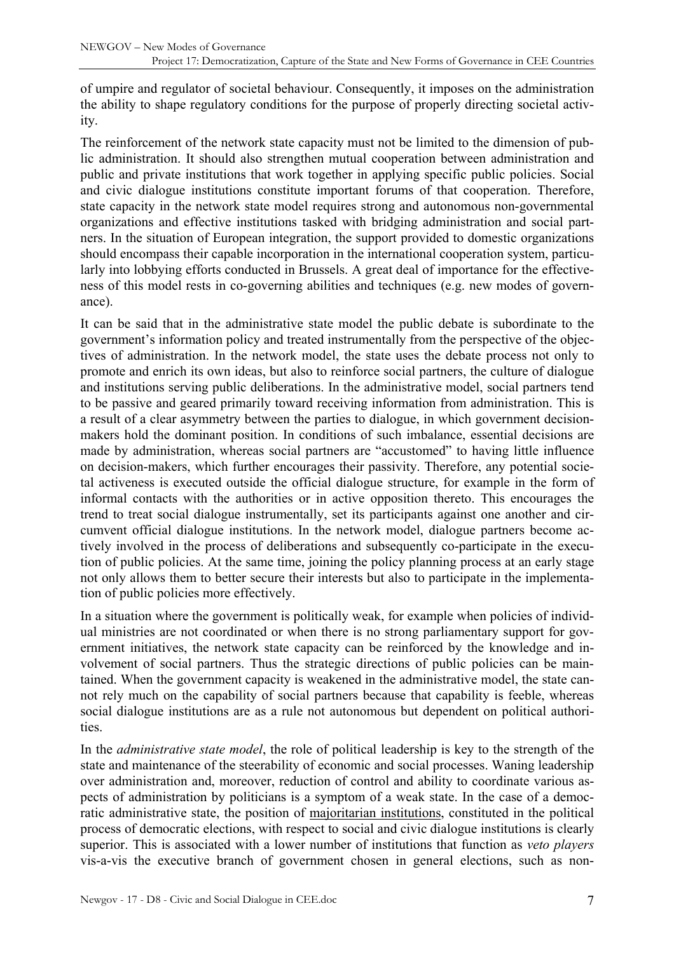of umpire and regulator of societal behaviour. Consequently, it imposes on the administration the ability to shape regulatory conditions for the purpose of properly directing societal activity.

The reinforcement of the network state capacity must not be limited to the dimension of public administration. It should also strengthen mutual cooperation between administration and public and private institutions that work together in applying specific public policies. Social and civic dialogue institutions constitute important forums of that cooperation. Therefore, state capacity in the network state model requires strong and autonomous non-governmental organizations and effective institutions tasked with bridging administration and social partners. In the situation of European integration, the support provided to domestic organizations should encompass their capable incorporation in the international cooperation system, particularly into lobbying efforts conducted in Brussels. A great deal of importance for the effectiveness of this model rests in co-governing abilities and techniques (e.g. new modes of governance).

It can be said that in the administrative state model the public debate is subordinate to the government's information policy and treated instrumentally from the perspective of the objectives of administration. In the network model, the state uses the debate process not only to promote and enrich its own ideas, but also to reinforce social partners, the culture of dialogue and institutions serving public deliberations. In the administrative model, social partners tend to be passive and geared primarily toward receiving information from administration. This is a result of a clear asymmetry between the parties to dialogue, in which government decisionmakers hold the dominant position. In conditions of such imbalance, essential decisions are made by administration, whereas social partners are "accustomed" to having little influence on decision-makers, which further encourages their passivity. Therefore, any potential societal activeness is executed outside the official dialogue structure, for example in the form of informal contacts with the authorities or in active opposition thereto. This encourages the trend to treat social dialogue instrumentally, set its participants against one another and circumvent official dialogue institutions. In the network model, dialogue partners become actively involved in the process of deliberations and subsequently co-participate in the execution of public policies. At the same time, joining the policy planning process at an early stage not only allows them to better secure their interests but also to participate in the implementation of public policies more effectively.

In a situation where the government is politically weak, for example when policies of individual ministries are not coordinated or when there is no strong parliamentary support for government initiatives, the network state capacity can be reinforced by the knowledge and involvement of social partners. Thus the strategic directions of public policies can be maintained. When the government capacity is weakened in the administrative model, the state cannot rely much on the capability of social partners because that capability is feeble, whereas social dialogue institutions are as a rule not autonomous but dependent on political authorities.

In the *administrative state model*, the role of political leadership is key to the strength of the state and maintenance of the steerability of economic and social processes. Waning leadership over administration and, moreover, reduction of control and ability to coordinate various aspects of administration by politicians is a symptom of a weak state. In the case of a democratic administrative state, the position of majoritarian institutions, constituted in the political process of democratic elections, with respect to social and civic dialogue institutions is clearly superior. This is associated with a lower number of institutions that function as *veto players* vis-a-vis the executive branch of government chosen in general elections, such as non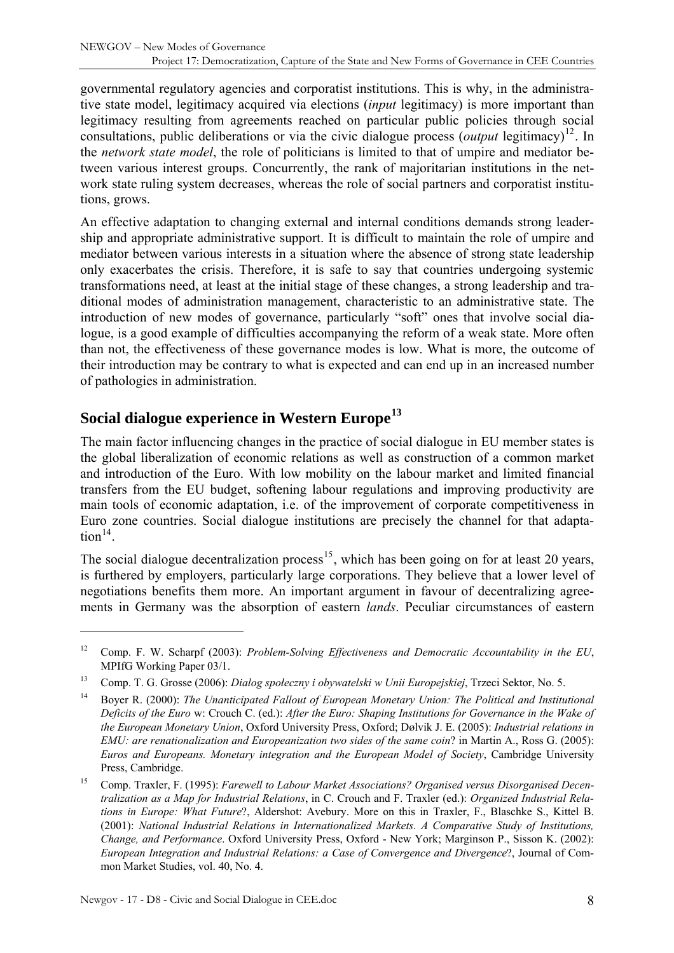<span id="page-7-0"></span>governmental regulatory agencies and corporatist institutions. This is why, in the administrative state model, legitimacy acquired via elections (*input* legitimacy) is more important than legitimacy resulting from agreements reached on particular public policies through social consultations, public deliberations or via the civic dialogue process (*output* legitimacy)<sup>[12](#page-7-1)</sup>. In the *network state model*, the role of politicians is limited to that of umpire and mediator between various interest groups. Concurrently, the rank of majoritarian institutions in the network state ruling system decreases, whereas the role of social partners and corporatist institutions, grows.

An effective adaptation to changing external and internal conditions demands strong leadership and appropriate administrative support. It is difficult to maintain the role of umpire and mediator between various interests in a situation where the absence of strong state leadership only exacerbates the crisis. Therefore, it is safe to say that countries undergoing systemic transformations need, at least at the initial stage of these changes, a strong leadership and traditional modes of administration management, characteristic to an administrative state. The introduction of new modes of governance, particularly "soft" ones that involve social dialogue, is a good example of difficulties accompanying the reform of a weak state. More often than not, the effectiveness of these governance modes is low. What is more, the outcome of their introduction may be contrary to what is expected and can end up in an increased number of pathologies in administration.

## **Social dialogue experience in Western Europe[13](#page-7-2)**

The main factor influencing changes in the practice of social dialogue in EU member states is the global liberalization of economic relations as well as construction of a common market and introduction of the Euro. With low mobility on the labour market and limited financial transfers from the EU budget, softening labour regulations and improving productivity are main tools of economic adaptation, i.e. of the improvement of corporate competitiveness in Euro zone countries. Social dialogue institutions are precisely the channel for that adaptation $14$ .

The social dialogue decentralization process<sup>[15](#page-7-4)</sup>, which has been going on for at least 20 years, is furthered by employers, particularly large corporations. They believe that a lower level of negotiations benefits them more. An important argument in favour of decentralizing agreements in Germany was the absorption of eastern *lands*. Peculiar circumstances of eastern

<span id="page-7-1"></span><sup>12</sup> Comp. F. W. Scharpf (2003): *Problem-Solving Effectiveness and Democratic Accountability in the EU*, MPIfG Working Paper 03/1.

<span id="page-7-2"></span><sup>13</sup> Comp. T. G. Grosse (2006): *Dialog społeczny i obywatelski w Unii Europejskiej*, Trzeci Sektor, No. 5.

<span id="page-7-3"></span><sup>14</sup> Boyer R. (2000): *The Unanticipated Fallout of European Monetary Union: The Political and Institutional Deficits of the Euro* w: Crouch C. (ed.): *After the Euro: Shaping Institutions for Governance in the Wake of the European Monetary Union*, Oxford University Press, Oxford; Dølvik J. E. (2005): *Industrial relations in EMU: are renationalization and Europeanization two sides of the same coin*? in Martin A., Ross G. (2005): *Euros and Europeans. Monetary integration and the European Model of Society*, Cambridge University Press, Cambridge.

<span id="page-7-4"></span><sup>15</sup> Comp. Traxler, F. (1995): *Farewell to Labour Market Associations? Organised versus Disorganised Decentralization as a Map for Industrial Relations*, in C. Crouch and F. Traxler (ed.): *Organized Industrial Relations in Europe: What Future*?, Aldershot: Avebury. More on this in Traxler, F., Blaschke S., Kittel B. (2001): *National Industrial Relations in Internationalized Markets. A Comparative Study of Institutions, Change, and Performance*. Oxford University Press, Oxford - New York; Marginson P., Sisson K. (2002): *European Integration and Industrial Relations: a Case of Convergence and Divergence*?, Journal of Common Market Studies, vol. 40, No. 4.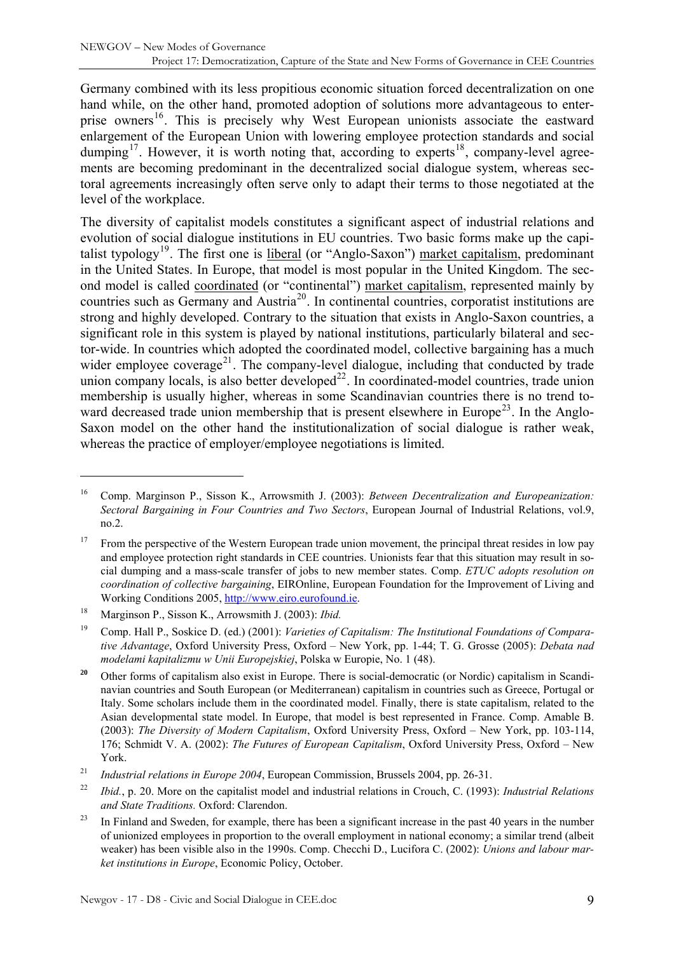Germany combined with its less propitious economic situation forced decentralization on one hand while, on the other hand, promoted adoption of solutions more advantageous to enter-prise owners<sup>[16](#page-8-0)</sup>. This is precisely why West European unionists associate the eastward enlargement of the European Union with lowering employee protection standards and social dumping<sup>[17](#page-8-1)</sup>. However, it is worth noting that, according to experts<sup>[18](#page-8-2)</sup>, company-level agreements are becoming predominant in the decentralized social dialogue system, whereas sectoral agreements increasingly often serve only to adapt their terms to those negotiated at the level of the workplace.

The diversity of capitalist models constitutes a significant aspect of industrial relations and evolution of social dialogue institutions in EU countries. Two basic forms make up the capi-talist typology<sup>[19](#page-8-3)</sup>. The first one is liberal (or "Anglo-Saxon") market capitalism, predominant in the United States. In Europe, that model is most popular in the United Kingdom. The second model is called coordinated (or "continental") market capitalism, represented mainly by countries such as Germany and Austria<sup>[20](#page-8-4)</sup>. In continental countries, corporatist institutions are strong and highly developed. Contrary to the situation that exists in Anglo-Saxon countries, a significant role in this system is played by national institutions, particularly bilateral and sector-wide. In countries which adopted the coordinated model, collective bargaining has a much wider employee coverage<sup>[21](#page-8-5)</sup>. The company-level dialogue, including that conducted by trade union company locals, is also better developed<sup>[22](#page-8-6)</sup>. In coordinated-model countries, trade union membership is usually higher, whereas in some Scandinavian countries there is no trend to-ward decreased trade union membership that is present elsewhere in Europe<sup>[23](#page-8-7)</sup>. In the Anglo-Saxon model on the other hand the institutionalization of social dialogue is rather weak, whereas the practice of employer/employee negotiations is limited.

<span id="page-8-0"></span><sup>16</sup> Comp. Marginson P., Sisson K., Arrowsmith J. (2003): *Between Decentralization and Europeanization: Sectoral Bargaining in Four Countries and Two Sectors*, European Journal of Industrial Relations, vol.9, no.2.

<span id="page-8-1"></span><sup>&</sup>lt;sup>17</sup> From the perspective of the Western European trade union movement, the principal threat resides in low pay and employee protection right standards in CEE countries. Unionists fear that this situation may result in social dumping and a mass-scale transfer of jobs to new member states. Comp. *ETUC adopts resolution on coordination of collective bargaining*, EIROnline, European Foundation for the Improvement of Living and Working Conditions 2005, [http://www.eiro.eurofound.ie](http://www.eiro.eurofound.ie/).

<span id="page-8-2"></span><sup>18</sup> Marginson P., Sisson K., Arrowsmith J. (2003): *Ibid.*

<span id="page-8-3"></span><sup>19</sup> Comp. Hall P., Soskice D. (ed.) (2001): *Varieties of Capitalism: The Institutional Foundations of Comparative Advantage*, Oxford University Press, Oxford – New York, pp. 1-44; T. G. Grosse (2005): *Debata nad modelami kapitalizmu w Unii Europejskiej*, Polska w Europie, No. 1 (48).

<span id="page-8-4"></span><sup>&</sup>lt;sup>20</sup> Other forms of capitalism also exist in Europe. There is social-democratic (or Nordic) capitalism in Scandinavian countries and South European (or Mediterranean) capitalism in countries such as Greece, Portugal or Italy. Some scholars include them in the coordinated model. Finally, there is state capitalism, related to the Asian developmental state model. In Europe, that model is best represented in France. Comp. Amable B. (2003): *The Diversity of Modern Capitalism*, Oxford University Press, Oxford – New York, pp. 103-114, 176; Schmidt V. A. (2002): *The Futures of European Capitalism*, Oxford University Press, Oxford – New York.

<span id="page-8-5"></span><sup>21</sup> *Industrial relations in Europe 2004*, European Commission, Brussels 2004, pp. 26-31.

<span id="page-8-6"></span><sup>22</sup> *Ibid.*, p. 20. More on the capitalist model and industrial relations in Crouch, C. (1993): *Industrial Relations and State Traditions.* Oxford: Clarendon.

<span id="page-8-7"></span><sup>&</sup>lt;sup>23</sup> In Finland and Sweden, for example, there has been a significant increase in the past 40 years in the number of unionized employees in proportion to the overall employment in national economy; a similar trend (albeit weaker) has been visible also in the 1990s. Comp. Checchi D., Lucifora C. (2002): *Unions and labour market institutions in Europe*, Economic Policy, October.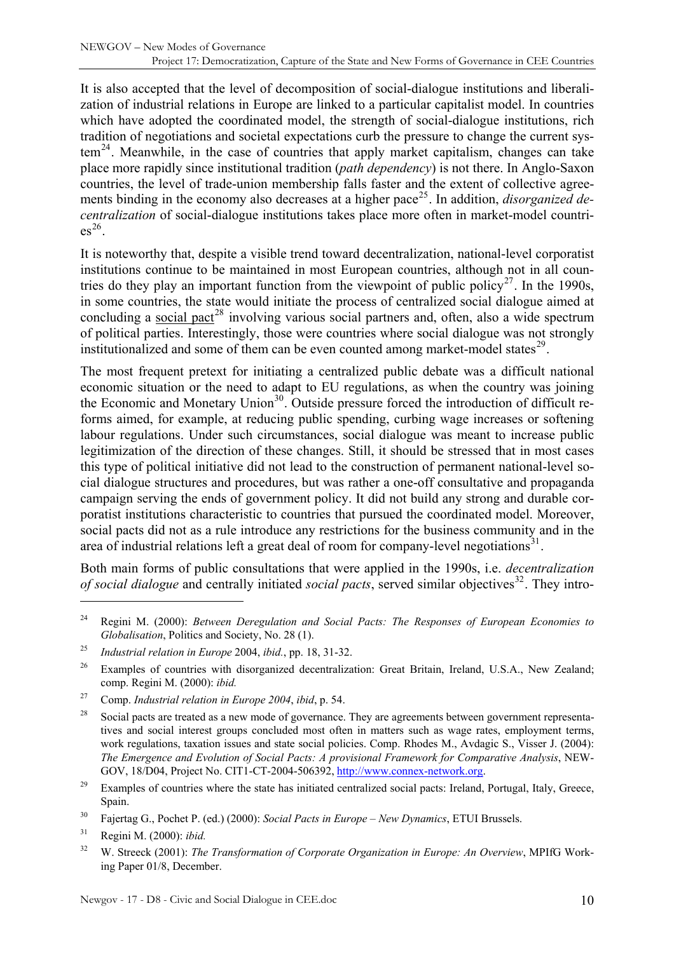It is also accepted that the level of decomposition of social-dialogue institutions and liberalization of industrial relations in Europe are linked to a particular capitalist model. In countries which have adopted the coordinated model, the strength of social-dialogue institutions, rich tradition of negotiations and societal expectations curb the pressure to change the current sys- $tem<sup>24</sup>$  $tem<sup>24</sup>$  $tem<sup>24</sup>$ . Meanwhile, in the case of countries that apply market capitalism, changes can take place more rapidly since institutional tradition (*path dependency*) is not there. In Anglo-Saxon countries, the level of trade-union membership falls faster and the extent of collective agree-ments binding in the economy also decreases at a higher pace<sup>[25](#page-9-1)</sup>. In addition, *disorganized decentralization* of social-dialogue institutions takes place more often in market-model countri- $\text{es}^{26}$  $\text{es}^{26}$  $\text{es}^{26}$ .

It is noteworthy that, despite a visible trend toward decentralization, national-level corporatist institutions continue to be maintained in most European countries, although not in all coun-tries do they play an important function from the viewpoint of public policy<sup>[27](#page-9-3)</sup>. In the 1990s, in some countries, the state would initiate the process of centralized social dialogue aimed at concluding a social pact<sup>[28](#page-9-4)</sup> involving various social partners and, often, also a wide spectrum of political parties. Interestingly, those were countries where social dialogue was not strongly institutionalized and some of them can be even counted among market-model states<sup>[29](#page-9-5)</sup>.

The most frequent pretext for initiating a centralized public debate was a difficult national economic situation or the need to adapt to EU regulations, as when the country was joining the Economic and Monetary Union<sup>[30](#page-9-6)</sup>. Outside pressure forced the introduction of difficult reforms aimed, for example, at reducing public spending, curbing wage increases or softening labour regulations. Under such circumstances, social dialogue was meant to increase public legitimization of the direction of these changes. Still, it should be stressed that in most cases this type of political initiative did not lead to the construction of permanent national-level social dialogue structures and procedures, but was rather a one-off consultative and propaganda campaign serving the ends of government policy. It did not build any strong and durable corporatist institutions characteristic to countries that pursued the coordinated model. Moreover, social pacts did not as a rule introduce any restrictions for the business community and in the area of industrial relations left a great deal of room for company-level negotiations $31$ .

Both main forms of public consultations that were applied in the 1990s, i.e. *decentralization of social dialogue* and centrally initiated *social pacts*, served similar objectives<sup>[32](#page-9-8)</sup>. They intro-

<span id="page-9-3"></span>27 Comp. *Industrial relation in Europe 2004*, *ibid*, p. 54.

<span id="page-9-0"></span><sup>24</sup> Regini M. (2000): *Between Deregulation and Social Pacts: The Responses of European Economies to Globalisation*, Politics and Society, No. 28 (1).

<span id="page-9-1"></span><sup>25</sup> *Industrial relation in Europe* 2004, *ibid.*, pp. 18, 31-32.

<span id="page-9-2"></span><sup>&</sup>lt;sup>26</sup> Examples of countries with disorganized decentralization: Great Britain, Ireland, U.S.A., New Zealand; comp. Regini M. (2000): *ibid.* 

<span id="page-9-4"></span><sup>&</sup>lt;sup>28</sup> Social pacts are treated as a new mode of governance. They are agreements between government representatives and social interest groups concluded most often in matters such as wage rates, employment terms, work regulations, taxation issues and state social policies. Comp. Rhodes M., Avdagic S., Visser J. (2004): *The Emergence and Evolution of Social Pacts: A provisional Framework for Comparative Analysis*, NEW-GOV, 18/D04, Project No. CIT1-CT-2004-506392, [http://www.connex-network.org](http://www.connex-network.org/).

<span id="page-9-5"></span><sup>&</sup>lt;sup>29</sup> Examples of countries where the state has initiated centralized social pacts: Ireland, Portugal, Italy, Greece, Spain.

<span id="page-9-6"></span><sup>30</sup> Fajertag G., Pochet P. (ed.) (2000): *Social Pacts in Europe – New Dynamics*, ETUI Brussels.

<span id="page-9-7"></span><sup>31</sup> Regini M. (2000): *ibid.* 

<span id="page-9-8"></span><sup>32</sup> W. Streeck (2001): *The Transformation of Corporate Organization in Europe: An Overview*, MPIfG Working Paper 01/8, December.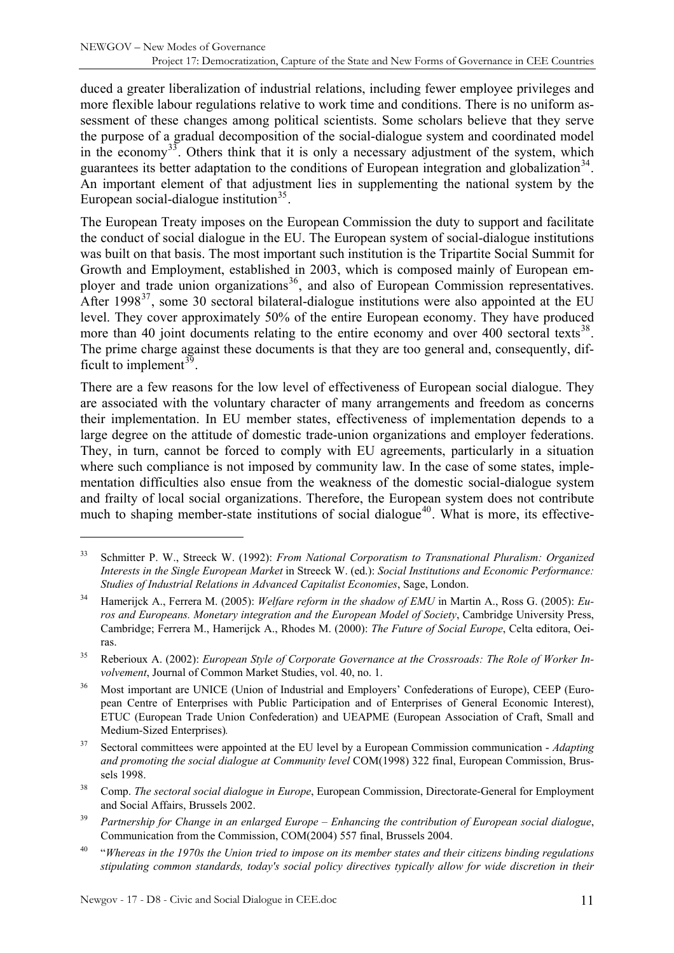duced a greater liberalization of industrial relations, including fewer employee privileges and more flexible labour regulations relative to work time and conditions. There is no uniform assessment of these changes among political scientists. Some scholars believe that they serve the purpose of a gradual decomposition of the social-dialogue system and coordinated model in the economy<sup>[33](#page-10-0)</sup>. Others think that it is only a necessary adjustment of the system, which guarantees its better adaptation to the conditions of European integration and globalization<sup>[34](#page-10-1)</sup>. An important element of that adjustment lies in supplementing the national system by the European social-dialogue institution<sup>[35](#page-10-2)</sup>.

The European Treaty imposes on the European Commission the duty to support and facilitate the conduct of social dialogue in the EU. The European system of social-dialogue institutions was built on that basis. The most important such institution is the Tripartite Social Summit for Growth and Employment, established in 2003, which is composed mainly of European em-ployer and trade union organizations<sup>[36](#page-10-3)</sup>, and also of European Commission representatives. After 1998 $37$ , some 30 sectoral bilateral-dialogue institutions were also appointed at the EU level. They cover approximately 50% of the entire European economy. They have produced more than 40 joint documents relating to the entire economy and over 400 sectoral texts<sup>[38](#page-10-5)</sup>. The prime charge against these documents is that they are too general and, consequently, dif-ficult to implement<sup>[39](#page-10-6)</sup>.

There are a few reasons for the low level of effectiveness of European social dialogue. They are associated with the voluntary character of many arrangements and freedom as concerns their implementation. In EU member states, effectiveness of implementation depends to a large degree on the attitude of domestic trade-union organizations and employer federations. They, in turn, cannot be forced to comply with EU agreements, particularly in a situation where such compliance is not imposed by community law. In the case of some states, implementation difficulties also ensue from the weakness of the domestic social-dialogue system and frailty of local social organizations. Therefore, the European system does not contribute much to shaping member-state institutions of social dialogue<sup>[40](#page-10-7)</sup>. What is more, its effective-

- <span id="page-10-6"></span>39 *Partnership for Change in an enlarged Europe – Enhancing the contribution of European social dialogue*, Communication from the Commission, COM(2004) 557 final, Brussels 2004.
- <span id="page-10-7"></span>40 "*Whereas in the 1970s the Union tried to impose on its member states and their citizens binding regulations stipulating common standards, today's social policy directives typically allow for wide discretion in their*

<span id="page-10-0"></span><sup>33</sup> Schmitter P. W., Streeck W. (1992): *From National Corporatism to Transnational Pluralism: Organized Interests in the Single European Market* in Streeck W. (ed.): *Social Institutions and Economic Performance: Studies of Industrial Relations in Advanced Capitalist Economies*, Sage, London.

<span id="page-10-1"></span><sup>34</sup> Hamerijck A., Ferrera M. (2005): *Welfare reform in the shadow of EMU* in Martin A., Ross G. (2005): *Euros and Europeans. Monetary integration and the European Model of Society*, Cambridge University Press, Cambridge; Ferrera M., Hamerijck A., Rhodes M. (2000): *The Future of Social Europe*, Celta editora, Oeiras.

<span id="page-10-2"></span><sup>35</sup> Reberioux A. (2002): *European Style of Corporate Governance at the Crossroads: The Role of Worker Involvement*, Journal of Common Market Studies, vol. 40, no. 1.

<span id="page-10-3"></span><sup>36</sup> Most important are UNICE (Union of Industrial and Employers' Confederations of Europe), CEEP (European Centre of Enterprises with Public Participation and of Enterprises of General Economic Interest), ETUC (European Trade Union Confederation) and UEAPME (European Association of Craft, Small and Medium-Sized Enterprises)*.*

<span id="page-10-4"></span><sup>37</sup> Sectoral committees were appointed at the EU level by a European Commission communication - *Adapting and promoting the social dialogue at Community level* COM(1998) 322 final, European Commission, Brussels 1998.

<span id="page-10-5"></span><sup>38</sup> Comp. *The sectoral social dialogue in Europe*, European Commission, Directorate-General for Employment and Social Affairs, Brussels 2002.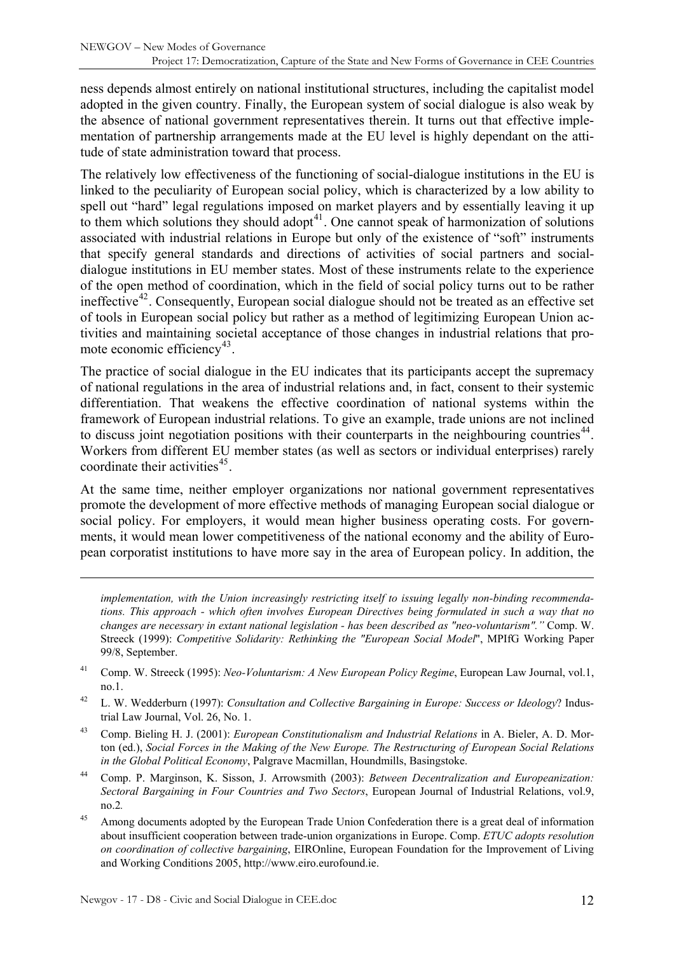ness depends almost entirely on national institutional structures, including the capitalist model adopted in the given country. Finally, the European system of social dialogue is also weak by the absence of national government representatives therein. It turns out that effective implementation of partnership arrangements made at the EU level is highly dependant on the attitude of state administration toward that process.

The relatively low effectiveness of the functioning of social-dialogue institutions in the EU is linked to the peculiarity of European social policy, which is characterized by a low ability to spell out "hard" legal regulations imposed on market players and by essentially leaving it up to them which solutions they should adopt<sup>[41](#page-11-0)</sup>. One cannot speak of harmonization of solutions associated with industrial relations in Europe but only of the existence of "soft" instruments that specify general standards and directions of activities of social partners and socialdialogue institutions in EU member states. Most of these instruments relate to the experience of the open method of coordination, which in the field of social policy turns out to be rather ineffective<sup>[42](#page-11-1)</sup>. Consequently, European social dialogue should not be treated as an effective set of tools in European social policy but rather as a method of legitimizing European Union activities and maintaining societal acceptance of those changes in industrial relations that pro-mote economic efficiency<sup>[43](#page-11-2)</sup>.

The practice of social dialogue in the EU indicates that its participants accept the supremacy of national regulations in the area of industrial relations and, in fact, consent to their systemic differentiation. That weakens the effective coordination of national systems within the framework of European industrial relations. To give an example, trade unions are not inclined to discuss joint negotiation positions with their counterparts in the neighbouring countries<sup>[44](#page-11-3)</sup>. Workers from different EU member states (as well as sectors or individual enterprises) rarely coordinate their activities $45$ .

At the same time, neither employer organizations nor national government representatives promote the development of more effective methods of managing European social dialogue or social policy. For employers, it would mean higher business operating costs. For governments, it would mean lower competitiveness of the national economy and the ability of European corporatist institutions to have more say in the area of European policy. In addition, the

*implementation, with the Union increasingly restricting itself to issuing legally non-binding recommendations. This approach - which often involves European Directives being formulated in such a way that no changes are necessary in extant national legislation - has been described as "neo-voluntarism"."* Comp. W. Streeck (1999): *Competitive Solidarity: Rethinking the "European Social Model*", MPIfG Working Paper 99/8, September.

- <span id="page-11-0"></span>41 Comp. W. Streeck (1995): *Neo-Voluntarism: A New European Policy Regime*, European Law Journal, vol.1, no.1.
- <span id="page-11-1"></span>42 L. W. Wedderburn (1997): *Consultation and Collective Bargaining in Europe: Success or Ideology*? Industrial Law Journal, Vol. 26, No. 1.
- <span id="page-11-2"></span>43 Comp. Bieling H. J. (2001): *European Constitutionalism and Industrial Relations* in A. Bieler, A. D. Morton (ed.), *Social Forces in the Making of the New Europe. The Restructuring of European Social Relations in the Global Political Economy*, Palgrave Macmillan, Houndmills, Basingstoke.
- <span id="page-11-3"></span>44 Comp. P. Marginson, K. Sisson, J. Arrowsmith (2003): *Between Decentralization and Europeanization: Sectoral Bargaining in Four Countries and Two Sectors*, European Journal of Industrial Relations, vol.9, no.2*.*
- <span id="page-11-4"></span><sup>45</sup> Among documents adopted by the European Trade Union Confederation there is a great deal of information about insufficient cooperation between trade-union organizations in Europe. Comp. *ETUC adopts resolution on coordination of collective bargaining*, EIROnline, European Foundation for the Improvement of Living and Working Conditions 2005, [http://www.eiro.eurofound.ie](http://www.eiro.eurofound.ie/).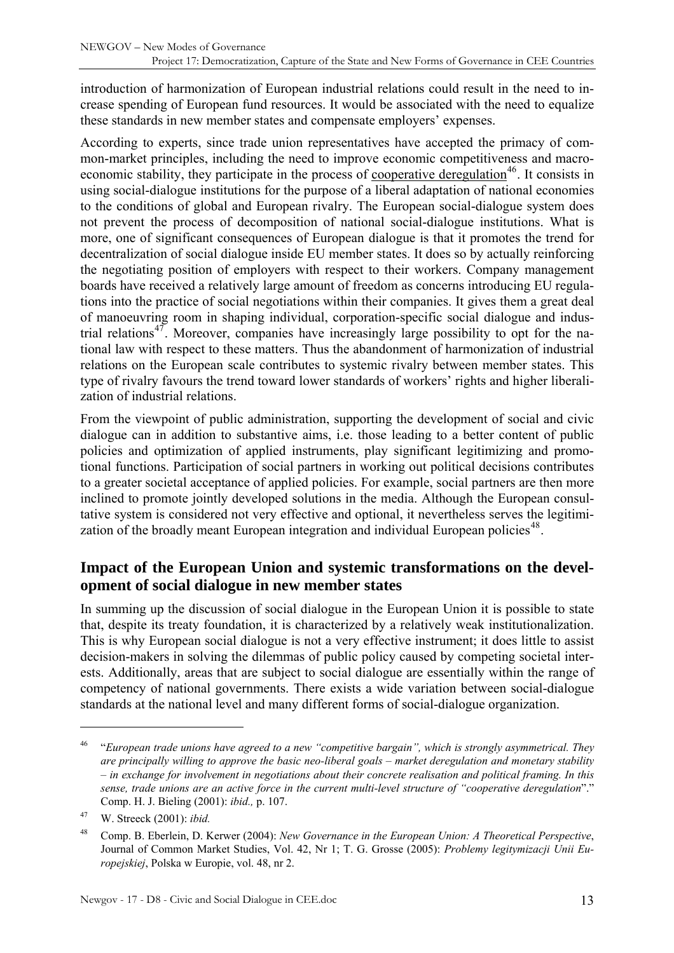<span id="page-12-0"></span>introduction of harmonization of European industrial relations could result in the need to increase spending of European fund resources. It would be associated with the need to equalize these standards in new member states and compensate employers' expenses.

According to experts, since trade union representatives have accepted the primacy of common-market principles, including the need to improve economic competitiveness and macro-economic stability, they participate in the process of cooperative deregulation<sup>[46](#page-12-1)</sup>. It consists in using social-dialogue institutions for the purpose of a liberal adaptation of national economies to the conditions of global and European rivalry. The European social-dialogue system does not prevent the process of decomposition of national social-dialogue institutions. What is more, one of significant consequences of European dialogue is that it promotes the trend for decentralization of social dialogue inside EU member states. It does so by actually reinforcing the negotiating position of employers with respect to their workers. Company management boards have received a relatively large amount of freedom as concerns introducing EU regulations into the practice of social negotiations within their companies. It gives them a great deal of manoeuvring room in shaping individual, corporation-specific social dialogue and indus-trial relations<sup>[47](#page-12-2)</sup>. Moreover, companies have increasingly large possibility to opt for the national law with respect to these matters. Thus the abandonment of harmonization of industrial relations on the European scale contributes to systemic rivalry between member states. This type of rivalry favours the trend toward lower standards of workers' rights and higher liberalization of industrial relations.

From the viewpoint of public administration, supporting the development of social and civic dialogue can in addition to substantive aims, i.e. those leading to a better content of public policies and optimization of applied instruments, play significant legitimizing and promotional functions. Participation of social partners in working out political decisions contributes to a greater societal acceptance of applied policies. For example, social partners are then more inclined to promote jointly developed solutions in the media. Although the European consultative system is considered not very effective and optional, it nevertheless serves the legitimi-zation of the broadly meant European integration and individual European policies<sup>[48](#page-12-3)</sup>.

#### **Impact of the European Union and systemic transformations on the development of social dialogue in new member states**

In summing up the discussion of social dialogue in the European Union it is possible to state that, despite its treaty foundation, it is characterized by a relatively weak institutionalization. This is why European social dialogue is not a very effective instrument; it does little to assist decision-makers in solving the dilemmas of public policy caused by competing societal interests. Additionally, areas that are subject to social dialogue are essentially within the range of competency of national governments. There exists a wide variation between social-dialogue standards at the national level and many different forms of social-dialogue organization.

<span id="page-12-1"></span><sup>46 &</sup>quot;*European trade unions have agreed to a new "competitive bargain", which is strongly asymmetrical. They are principally willing to approve the basic neo-liberal goals – market deregulation and monetary stability – in exchange for involvement in negotiations about their concrete realisation and political framing. In this sense, trade unions are an active force in the current multi-level structure of "cooperative deregulation*"." Comp. H. J. Bieling (2001): *ibid.,* p. 107.

<span id="page-12-2"></span><sup>47</sup> W. Streeck (2001): *ibid.*

<span id="page-12-3"></span><sup>48</sup> Comp. B. Eberlein, D. Kerwer (2004): *New Governance in the European Union: A Theoretical Perspective*, Journal of Common Market Studies, Vol. 42, Nr 1; T. G. Grosse (2005): *Problemy legitymizacji Unii Europejskiej*, Polska w Europie, vol. 48, nr 2.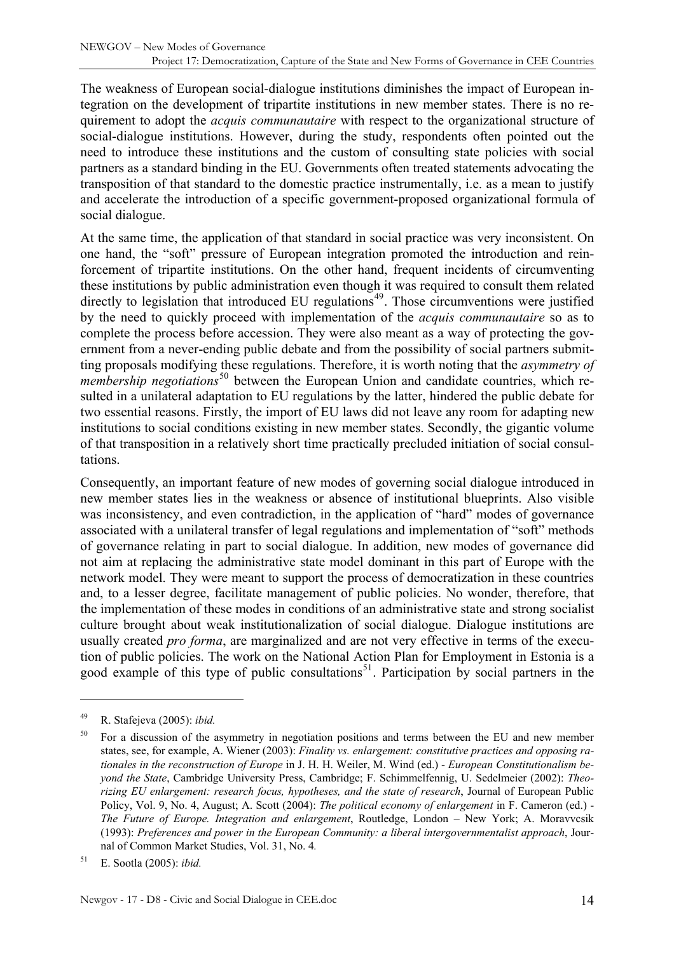The weakness of European social-dialogue institutions diminishes the impact of European integration on the development of tripartite institutions in new member states. There is no requirement to adopt the *acquis communautaire* with respect to the organizational structure of social-dialogue institutions. However, during the study, respondents often pointed out the need to introduce these institutions and the custom of consulting state policies with social partners as a standard binding in the EU. Governments often treated statements advocating the transposition of that standard to the domestic practice instrumentally, i.e. as a mean to justify and accelerate the introduction of a specific government-proposed organizational formula of social dialogue.

At the same time, the application of that standard in social practice was very inconsistent. On one hand, the "soft" pressure of European integration promoted the introduction and reinforcement of tripartite institutions. On the other hand, frequent incidents of circumventing these institutions by public administration even though it was required to consult them related directly to legislation that introduced EU regulations<sup> $49$ </sup>. Those circumventions were justified by the need to quickly proceed with implementation of the *acquis communautaire* so as to complete the process before accession. They were also meant as a way of protecting the government from a never-ending public debate and from the possibility of social partners submitting proposals modifying these regulations. Therefore, it is worth noting that the *asymmetry of membership negotiations*<sup>[50](#page-13-1)</sup> between the European Union and candidate countries, which resulted in a unilateral adaptation to EU regulations by the latter, hindered the public debate for two essential reasons. Firstly, the import of EU laws did not leave any room for adapting new institutions to social conditions existing in new member states. Secondly, the gigantic volume of that transposition in a relatively short time practically precluded initiation of social consultations.

Consequently, an important feature of new modes of governing social dialogue introduced in new member states lies in the weakness or absence of institutional blueprints. Also visible was inconsistency, and even contradiction, in the application of "hard" modes of governance associated with a unilateral transfer of legal regulations and implementation of "soft" methods of governance relating in part to social dialogue. In addition, new modes of governance did not aim at replacing the administrative state model dominant in this part of Europe with the network model. They were meant to support the process of democratization in these countries and, to a lesser degree, facilitate management of public policies. No wonder, therefore, that the implementation of these modes in conditions of an administrative state and strong socialist culture brought about weak institutionalization of social dialogue. Dialogue institutions are usually created *pro forma*, are marginalized and are not very effective in terms of the execution of public policies. The work on the National Action Plan for Employment in Estonia is a good example of this type of public consultations<sup>[51](#page-13-2)</sup>. Participation by social partners in the

<span id="page-13-0"></span><sup>49</sup> R. Stafejeva (2005): *ibid.* 

<span id="page-13-1"></span><sup>50</sup> For a discussion of the asymmetry in negotiation positions and terms between the EU and new member states, see, for example, A. Wiener (2003): *Finality vs. enlargement: constitutive practices and opposing rationales in the reconstruction of Europe* in J. H. H. Weiler, M. Wind (ed.) - *European Constitutionalism beyond the State*, Cambridge University Press, Cambridge; F. Schimmelfennig, U. Sedelmeier (2002): *Theorizing EU enlargement: research focus, hypotheses, and the state of research*, Journal of European Public Policy, Vol. 9, No. 4, August; A. Scott (2004): *The political economy of enlargement* in F. Cameron (ed.) - *The Future of Europe. Integration and enlargement*, Routledge, London – New York; A. Moravvcsik (1993): *Preferences and power in the European Community: a liberal intergovernmentalist approach*, Journal of Common Market Studies, Vol. 31, No. 4*.*

<span id="page-13-2"></span><sup>51</sup> E. Sootla (2005): *ibid.*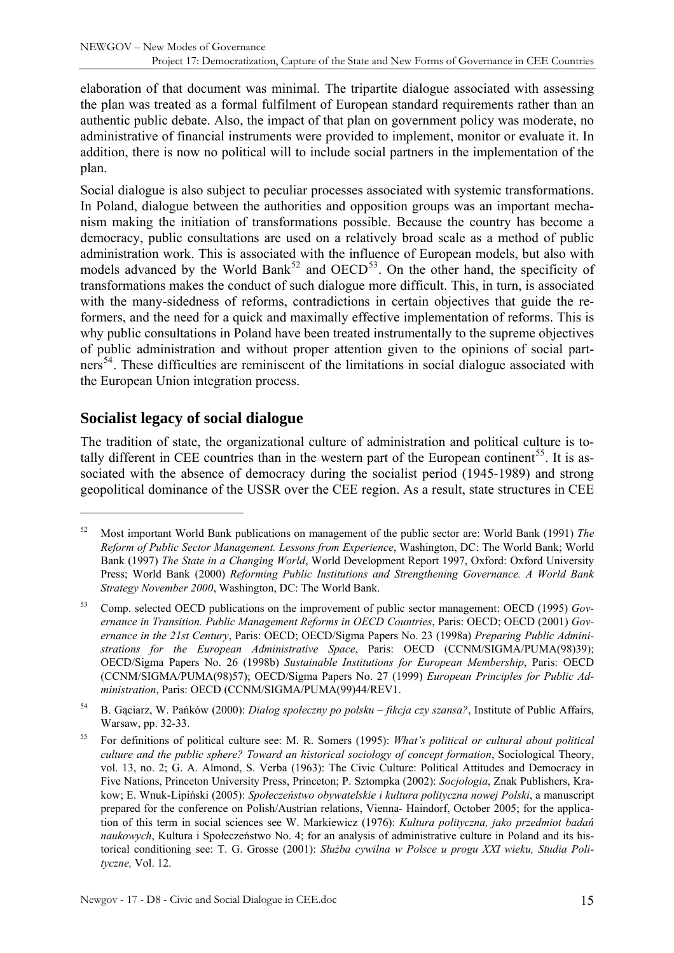<span id="page-14-0"></span>elaboration of that document was minimal. The tripartite dialogue associated with assessing the plan was treated as a formal fulfilment of European standard requirements rather than an authentic public debate. Also, the impact of that plan on government policy was moderate, no administrative of financial instruments were provided to implement, monitor or evaluate it. In addition, there is now no political will to include social partners in the implementation of the plan.

Social dialogue is also subject to peculiar processes associated with systemic transformations. In Poland, dialogue between the authorities and opposition groups was an important mechanism making the initiation of transformations possible. Because the country has become a democracy, public consultations are used on a relatively broad scale as a method of public administration work. This is associated with the influence of European models, but also with models advanced by the World Bank<sup>[52](#page-14-1)</sup> and  $OECD<sup>53</sup>$  $OECD<sup>53</sup>$  $OECD<sup>53</sup>$ . On the other hand, the specificity of transformations makes the conduct of such dialogue more difficult. This, in turn, is associated with the many-sidedness of reforms, contradictions in certain objectives that guide the reformers, and the need for a quick and maximally effective implementation of reforms. This is why public consultations in Poland have been treated instrumentally to the supreme objectives of public administration and without proper attention given to the opinions of social part-ners<sup>[54](#page-14-3)</sup>. These difficulties are reminiscent of the limitations in social dialogue associated with the European Union integration process.

## **Socialist legacy of social dialogue**

 $\overline{a}$ 

The tradition of state, the organizational culture of administration and political culture is to-tally different in CEE countries than in the western part of the European continent<sup>[55](#page-14-4)</sup>. It is associated with the absence of democracy during the socialist period (1945-1989) and strong geopolitical dominance of the USSR over the CEE region. As a result, state structures in CEE

<span id="page-14-1"></span><sup>52</sup> Most important World Bank publications on management of the public sector are: World Bank (1991) *The Reform of Public Sector Management. Lessons from Experience*, Washington, DC: The World Bank; World Bank (1997) *The State in a Changing World*, World Development Report 1997, Oxford: Oxford University Press; World Bank (2000) *Reforming Public Institutions and Strengthening Governance. A World Bank Strategy November 2000*, Washington, DC: The World Bank.

<span id="page-14-2"></span><sup>53</sup> Comp. selected OECD publications on the improvement of public sector management: OECD (1995) *Governance in Transition. Public Management Reforms in OECD Countries*, Paris: OECD; OECD (2001) *Governance in the 21st Century*, Paris: OECD; OECD/Sigma Papers No. 23 (1998a) *Preparing Public Administrations for the European Administrative Space*, Paris: OECD (CCNM/SIGMA/PUMA(98)39); OECD/Sigma Papers No. 26 (1998b) *Sustainable Institutions for European Membership*, Paris: OECD (CCNM/SIGMA/PUMA(98)57); OECD/Sigma Papers No. 27 (1999) *European Principles for Public Administration*, Paris: OECD (CCNM/SIGMA/PUMA(99)44/REV1.

<span id="page-14-3"></span><sup>54</sup> B. Gąciarz, W. Pańków (2000): *Dialog społeczny po polsku – fikcja czy szansa?*, Institute of Public Affairs, Warsaw, pp. 32-33.

<span id="page-14-4"></span><sup>55</sup> For definitions of political culture see: M. R. Somers (1995): *What's political or cultural about political culture and the public sphere? Toward an historical sociology of concept formation*, Sociological Theory, vol. 13, no. 2; G. A. Almond, S. Verba (1963): The Civic Culture: Political Attitudes and Democracy in Five Nations, Princeton University Press, Princeton; P. Sztompka (2002): *Socjologia*, Znak Publishers, Krakow; E. Wnuk-Lipiński (2005): *Społeczeństwo obywatelskie i kultura polityczna nowej Polski*, a manuscript prepared for the conference on Polish/Austrian relations, Vienna- Haindorf, October 2005; for the application of this term in social sciences see W. Markiewicz (1976): *Kultura polityczna, jako przedmiot badań naukowych*, Kultura i Społeczeństwo No. 4; for an analysis of administrative culture in Poland and its historical conditioning see: T. G. Grosse (2001): *Służba cywilna w Polsce u progu XXI wieku, Studia Polityczne,* Vol. 12.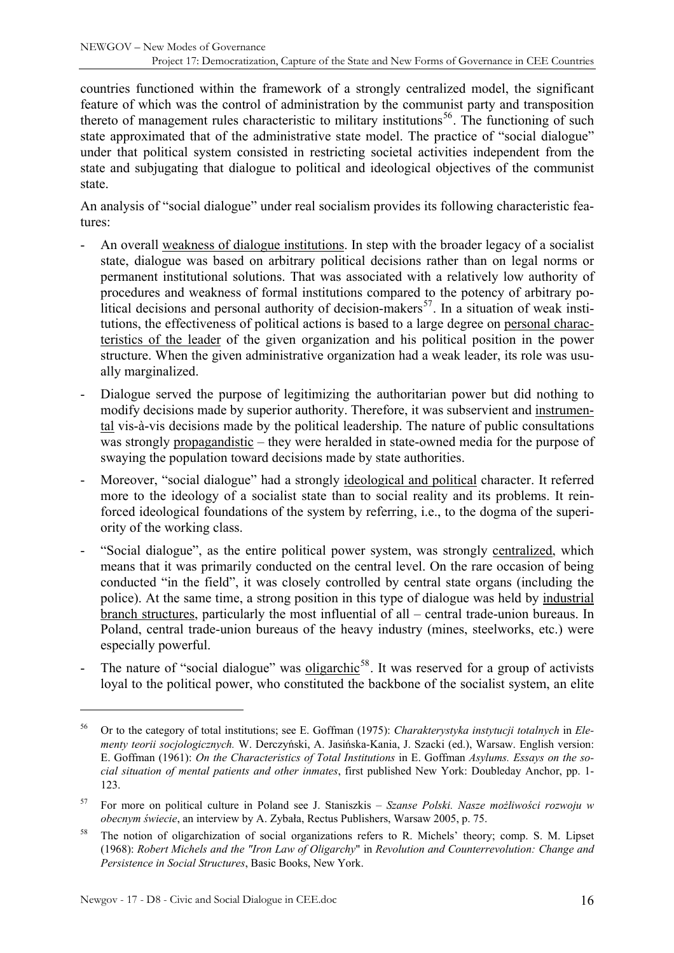countries functioned within the framework of a strongly centralized model, the significant feature of which was the control of administration by the communist party and transposition thereto of management rules characteristic to military institutions<sup>[56](#page-15-0)</sup>. The functioning of such state approximated that of the administrative state model. The practice of "social dialogue" under that political system consisted in restricting societal activities independent from the state and subjugating that dialogue to political and ideological objectives of the communist state.

An analysis of "social dialogue" under real socialism provides its following characteristic features:

- An overall weakness of dialogue institutions. In step with the broader legacy of a socialist state, dialogue was based on arbitrary political decisions rather than on legal norms or permanent institutional solutions. That was associated with a relatively low authority of procedures and weakness of formal institutions compared to the potency of arbitrary po-litical decisions and personal authority of decision-makers<sup>[57](#page-15-1)</sup>. In a situation of weak institutions, the effectiveness of political actions is based to a large degree on personal characteristics of the leader of the given organization and his political position in the power structure. When the given administrative organization had a weak leader, its role was usually marginalized.
- Dialogue served the purpose of legitimizing the authoritarian power but did nothing to modify decisions made by superior authority. Therefore, it was subservient and instrumental vis-à-vis decisions made by the political leadership. The nature of public consultations was strongly propagandistic – they were heralded in state-owned media for the purpose of swaying the population toward decisions made by state authorities.
- Moreover, "social dialogue" had a strongly ideological and political character. It referred more to the ideology of a socialist state than to social reality and its problems. It reinforced ideological foundations of the system by referring, i.e., to the dogma of the superiority of the working class.
- "Social dialogue", as the entire political power system, was strongly centralized, which means that it was primarily conducted on the central level. On the rare occasion of being conducted "in the field", it was closely controlled by central state organs (including the police). At the same time, a strong position in this type of dialogue was held by industrial branch structures, particularly the most influential of all – central trade-union bureaus. In Poland, central trade-union bureaus of the heavy industry (mines, steelworks, etc.) were especially powerful.
- The nature of "social dialogue" was oligarchic<sup>[58](#page-15-2)</sup>. It was reserved for a group of activists loyal to the political power, who constituted the backbone of the socialist system, an elite

<span id="page-15-0"></span><sup>56</sup> Or to the category of total institutions; see E. Goffman (1975): *Charakterystyka instytucji totalnych* in *Elementy teorii socjologicznych.* W. Derczyński, A. Jasińska-Kania, J. Szacki (ed.), Warsaw. English version: E. Goffman (1961): *On the Characteristics of Total Institutions* in E. Goffman *Asylums. Essays on the social situation of mental patients and other inmates*, first published New York: Doubleday Anchor, pp. 1- 123.

<span id="page-15-1"></span><sup>57</sup> For more on political culture in Poland see J. Staniszkis – *Szanse Polski. Nasze możliwości rozwoju w obecnym świecie*, an interview by A. Zybała, Rectus Publishers, Warsaw 2005, p. 75.

<span id="page-15-2"></span><sup>&</sup>lt;sup>58</sup> The notion of oligarchization of social organizations refers to R. Michels' theory; comp. S. M. Lipset (1968): *Robert Michels and the "Iron Law of Oligarchy*" in *Revolution and Counterrevolution: Change and Persistence in Social Structures*, Basic Books, New York.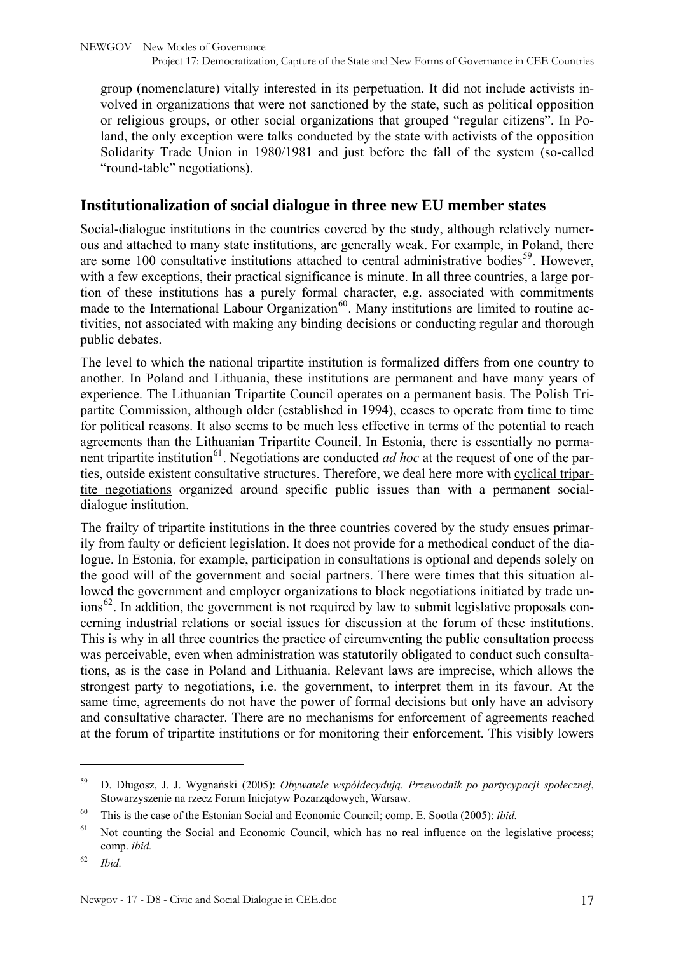<span id="page-16-0"></span>group (nomenclature) vitally interested in its perpetuation. It did not include activists involved in organizations that were not sanctioned by the state, such as political opposition or religious groups, or other social organizations that grouped "regular citizens". In Poland, the only exception were talks conducted by the state with activists of the opposition Solidarity Trade Union in 1980/1981 and just before the fall of the system (so-called "round-table" negotiations).

#### **Institutionalization of social dialogue in three new EU member states**

Social-dialogue institutions in the countries covered by the study, although relatively numerous and attached to many state institutions, are generally weak. For example, in Poland, there are some 100 consultative institutions attached to central administrative bodies<sup>[59](#page-16-1)</sup>. However, with a few exceptions, their practical significance is minute. In all three countries, a large portion of these institutions has a purely formal character, e.g. associated with commitments made to the International Labour Organization<sup>[60](#page-16-2)</sup>. Many institutions are limited to routine activities, not associated with making any binding decisions or conducting regular and thorough public debates.

The level to which the national tripartite institution is formalized differs from one country to another. In Poland and Lithuania, these institutions are permanent and have many years of experience. The Lithuanian Tripartite Council operates on a permanent basis. The Polish Tripartite Commission, although older (established in 1994), ceases to operate from time to time for political reasons. It also seems to be much less effective in terms of the potential to reach agreements than the Lithuanian Tripartite Council. In Estonia, there is essentially no perma-nent tripartite institution<sup>[61](#page-16-3)</sup>. Negotiations are conducted *ad hoc* at the request of one of the parties, outside existent consultative structures. Therefore, we deal here more with cyclical tripartite negotiations organized around specific public issues than with a permanent socialdialogue institution.

The frailty of tripartite institutions in the three countries covered by the study ensues primarily from faulty or deficient legislation. It does not provide for a methodical conduct of the dialogue. In Estonia, for example, participation in consultations is optional and depends solely on the good will of the government and social partners. There were times that this situation allowed the government and employer organizations to block negotiations initiated by trade un- $\cos^{62}$  $\cos^{62}$  $\cos^{62}$ . In addition, the government is not required by law to submit legislative proposals concerning industrial relations or social issues for discussion at the forum of these institutions. This is why in all three countries the practice of circumventing the public consultation process was perceivable, even when administration was statutorily obligated to conduct such consultations, as is the case in Poland and Lithuania. Relevant laws are imprecise, which allows the strongest party to negotiations, i.e. the government, to interpret them in its favour. At the same time, agreements do not have the power of formal decisions but only have an advisory and consultative character. There are no mechanisms for enforcement of agreements reached at the forum of tripartite institutions or for monitoring their enforcement. This visibly lowers

<span id="page-16-1"></span><sup>59</sup> D. Długosz, J. J. Wygnański (2005): *Obywatele współdecydują. Przewodnik po partycypacji społecznej*, Stowarzyszenie na rzecz Forum Inicjatyw Pozarządowych, Warsaw.

<span id="page-16-2"></span><sup>60</sup> This is the case of the Estonian Social and Economic Council; comp. E. Sootla (2005): *ibid.* 

<span id="page-16-3"></span><sup>&</sup>lt;sup>61</sup> Not counting the Social and Economic Council, which has no real influence on the legislative process; comp. *ibid.*

<span id="page-16-4"></span><sup>62</sup> *Ibid.*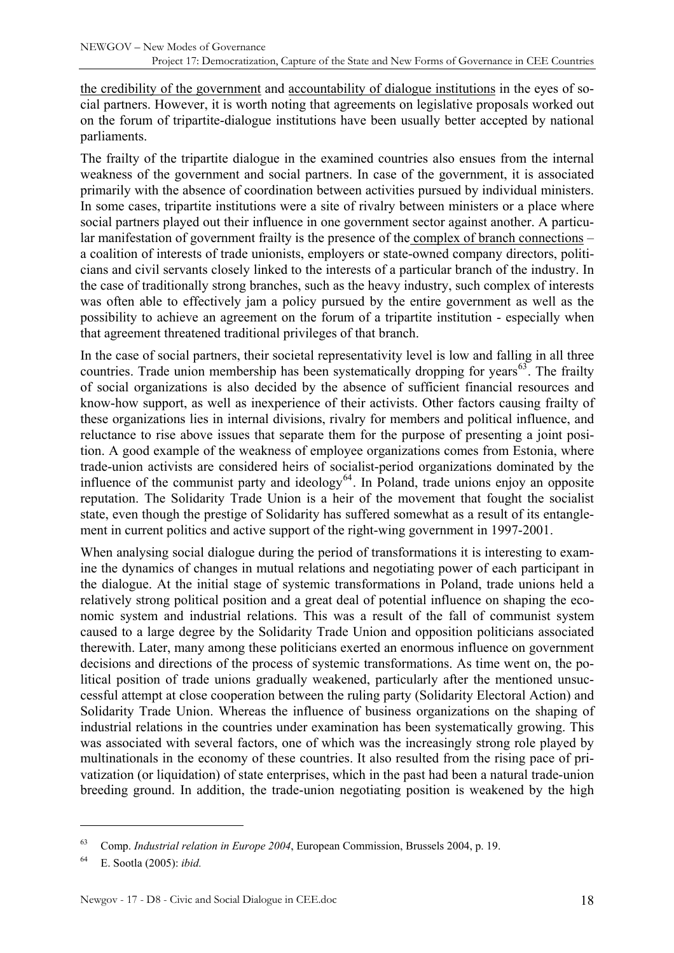the credibility of the government and accountability of dialogue institutions in the eyes of social partners. However, it is worth noting that agreements on legislative proposals worked out on the forum of tripartite-dialogue institutions have been usually better accepted by national parliaments.

The frailty of the tripartite dialogue in the examined countries also ensues from the internal weakness of the government and social partners. In case of the government, it is associated primarily with the absence of coordination between activities pursued by individual ministers. In some cases, tripartite institutions were a site of rivalry between ministers or a place where social partners played out their influence in one government sector against another. A particular manifestation of government frailty is the presence of the complex of branch connections – a coalition of interests of trade unionists, employers or state-owned company directors, politicians and civil servants closely linked to the interests of a particular branch of the industry. In the case of traditionally strong branches, such as the heavy industry, such complex of interests was often able to effectively jam a policy pursued by the entire government as well as the possibility to achieve an agreement on the forum of a tripartite institution - especially when that agreement threatened traditional privileges of that branch.

In the case of social partners, their societal representativity level is low and falling in all three countries. Trade union membership has been systematically dropping for years<sup>[63](#page-17-0)</sup>. The frailty of social organizations is also decided by the absence of sufficient financial resources and know-how support, as well as inexperience of their activists. Other factors causing frailty of these organizations lies in internal divisions, rivalry for members and political influence, and reluctance to rise above issues that separate them for the purpose of presenting a joint position. A good example of the weakness of employee organizations comes from Estonia, where trade-union activists are considered heirs of socialist-period organizations dominated by the influence of the communist party and ideology $64$ . In Poland, trade unions enjoy an opposite reputation. The Solidarity Trade Union is a heir of the movement that fought the socialist state, even though the prestige of Solidarity has suffered somewhat as a result of its entanglement in current politics and active support of the right-wing government in 1997-2001.

When analysing social dialogue during the period of transformations it is interesting to examine the dynamics of changes in mutual relations and negotiating power of each participant in the dialogue. At the initial stage of systemic transformations in Poland, trade unions held a relatively strong political position and a great deal of potential influence on shaping the economic system and industrial relations. This was a result of the fall of communist system caused to a large degree by the Solidarity Trade Union and opposition politicians associated therewith. Later, many among these politicians exerted an enormous influence on government decisions and directions of the process of systemic transformations. As time went on, the political position of trade unions gradually weakened, particularly after the mentioned unsuccessful attempt at close cooperation between the ruling party (Solidarity Electoral Action) and Solidarity Trade Union. Whereas the influence of business organizations on the shaping of industrial relations in the countries under examination has been systematically growing. This was associated with several factors, one of which was the increasingly strong role played by multinationals in the economy of these countries. It also resulted from the rising pace of privatization (or liquidation) of state enterprises, which in the past had been a natural trade-union breeding ground. In addition, the trade-union negotiating position is weakened by the high

<span id="page-17-0"></span><sup>63</sup> Comp. *Industrial relation in Europe 2004*, European Commission, Brussels 2004, p. 19.

<span id="page-17-1"></span><sup>64</sup> E. Sootla (2005): *ibid.*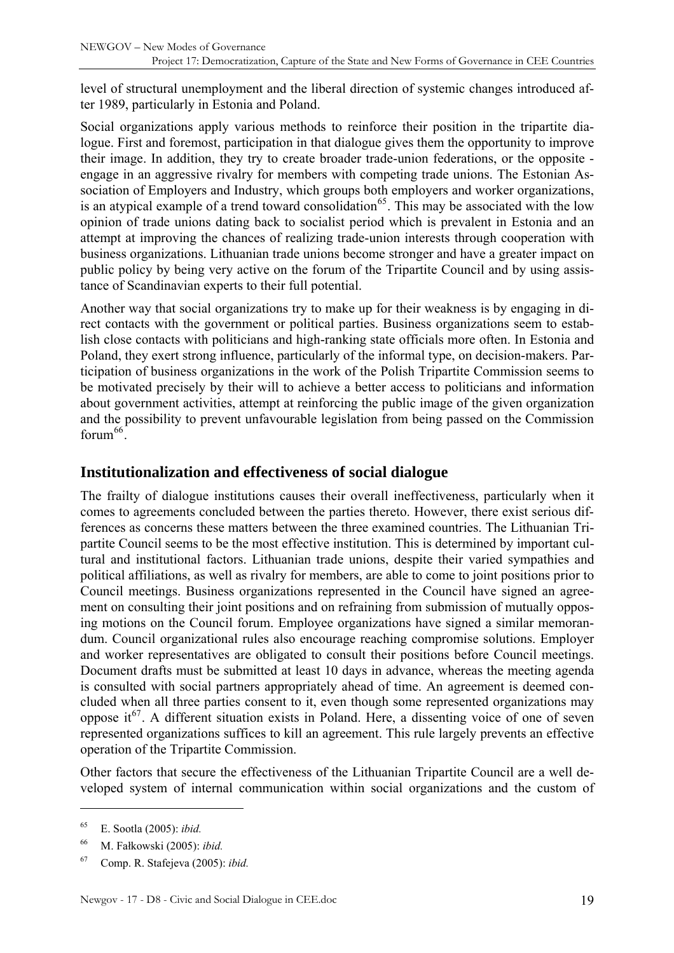<span id="page-18-0"></span>level of structural unemployment and the liberal direction of systemic changes introduced after 1989, particularly in Estonia and Poland.

Social organizations apply various methods to reinforce their position in the tripartite dialogue. First and foremost, participation in that dialogue gives them the opportunity to improve their image. In addition, they try to create broader trade-union federations, or the opposite engage in an aggressive rivalry for members with competing trade unions. The Estonian Association of Employers and Industry, which groups both employers and worker organizations, is an atypical example of a trend toward consolidation<sup>[65](#page-18-1)</sup>. This may be associated with the low opinion of trade unions dating back to socialist period which is prevalent in Estonia and an attempt at improving the chances of realizing trade-union interests through cooperation with business organizations. Lithuanian trade unions become stronger and have a greater impact on public policy by being very active on the forum of the Tripartite Council and by using assistance of Scandinavian experts to their full potential.

Another way that social organizations try to make up for their weakness is by engaging in direct contacts with the government or political parties. Business organizations seem to establish close contacts with politicians and high-ranking state officials more often. In Estonia and Poland, they exert strong influence, particularly of the informal type, on decision-makers. Participation of business organizations in the work of the Polish Tripartite Commission seems to be motivated precisely by their will to achieve a better access to politicians and information about government activities, attempt at reinforcing the public image of the given organization and the possibility to prevent unfavourable legislation from being passed on the Commission forum $66$ .

#### **Institutionalization and effectiveness of social dialogue**

The frailty of dialogue institutions causes their overall ineffectiveness, particularly when it comes to agreements concluded between the parties thereto. However, there exist serious differences as concerns these matters between the three examined countries. The Lithuanian Tripartite Council seems to be the most effective institution. This is determined by important cultural and institutional factors. Lithuanian trade unions, despite their varied sympathies and political affiliations, as well as rivalry for members, are able to come to joint positions prior to Council meetings. Business organizations represented in the Council have signed an agreement on consulting their joint positions and on refraining from submission of mutually opposing motions on the Council forum. Employee organizations have signed a similar memorandum. Council organizational rules also encourage reaching compromise solutions. Employer and worker representatives are obligated to consult their positions before Council meetings. Document drafts must be submitted at least 10 days in advance, whereas the meeting agenda is consulted with social partners appropriately ahead of time. An agreement is deemed concluded when all three parties consent to it, even though some represented organizations may oppose it<sup>[67](#page-18-3)</sup>. A different situation exists in Poland. Here, a dissenting voice of one of seven represented organizations suffices to kill an agreement. This rule largely prevents an effective operation of the Tripartite Commission.

Other factors that secure the effectiveness of the Lithuanian Tripartite Council are a well developed system of internal communication within social organizations and the custom of

<span id="page-18-1"></span><sup>65</sup> E. Sootla (2005): *ibid.*

<span id="page-18-2"></span><sup>66</sup> M. Fałkowski (2005): *ibid.* 

<span id="page-18-3"></span><sup>67</sup> Comp. R. Stafejeva (2005): *ibid.*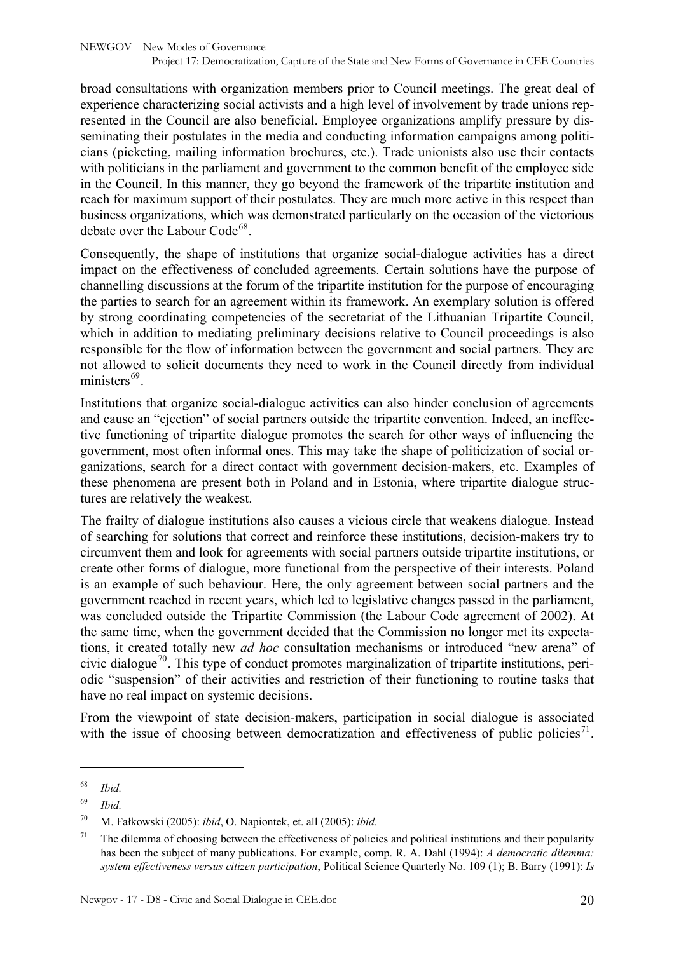broad consultations with organization members prior to Council meetings. The great deal of experience characterizing social activists and a high level of involvement by trade unions represented in the Council are also beneficial. Employee organizations amplify pressure by disseminating their postulates in the media and conducting information campaigns among politicians (picketing, mailing information brochures, etc.). Trade unionists also use their contacts with politicians in the parliament and government to the common benefit of the employee side in the Council. In this manner, they go beyond the framework of the tripartite institution and reach for maximum support of their postulates. They are much more active in this respect than business organizations, which was demonstrated particularly on the occasion of the victorious debate over the Labour Code<sup>[68](#page-19-0)</sup>.

Consequently, the shape of institutions that organize social-dialogue activities has a direct impact on the effectiveness of concluded agreements. Certain solutions have the purpose of channelling discussions at the forum of the tripartite institution for the purpose of encouraging the parties to search for an agreement within its framework. An exemplary solution is offered by strong coordinating competencies of the secretariat of the Lithuanian Tripartite Council, which in addition to mediating preliminary decisions relative to Council proceedings is also responsible for the flow of information between the government and social partners. They are not allowed to solicit documents they need to work in the Council directly from individual ministers $^{69}$  $^{69}$  $^{69}$ .

Institutions that organize social-dialogue activities can also hinder conclusion of agreements and cause an "ejection" of social partners outside the tripartite convention. Indeed, an ineffective functioning of tripartite dialogue promotes the search for other ways of influencing the government, most often informal ones. This may take the shape of politicization of social organizations, search for a direct contact with government decision-makers, etc. Examples of these phenomena are present both in Poland and in Estonia, where tripartite dialogue structures are relatively the weakest.

The frailty of dialogue institutions also causes a vicious circle that weakens dialogue. Instead of searching for solutions that correct and reinforce these institutions, decision-makers try to circumvent them and look for agreements with social partners outside tripartite institutions, or create other forms of dialogue, more functional from the perspective of their interests. Poland is an example of such behaviour. Here, the only agreement between social partners and the government reached in recent years, which led to legislative changes passed in the parliament, was concluded outside the Tripartite Commission (the Labour Code agreement of 2002). At the same time, when the government decided that the Commission no longer met its expectations, it created totally new *ad hoc* consultation mechanisms or introduced "new arena" of civic dialogue<sup>[70](#page-19-2)</sup>. This type of conduct promotes marginalization of tripartite institutions, periodic "suspension" of their activities and restriction of their functioning to routine tasks that have no real impact on systemic decisions.

From the viewpoint of state decision-makers, participation in social dialogue is associated with the issue of choosing between democratization and effectiveness of public policies<sup>[71](#page-19-3)</sup>.

<span id="page-19-0"></span><sup>68</sup> *Ibid.*

<span id="page-19-1"></span><sup>69</sup> *Ibid.*

<span id="page-19-2"></span><sup>70</sup> M. Fałkowski (2005): *ibid*, O. Napiontek, et. all (2005): *ibid.* 

<span id="page-19-3"></span><sup>&</sup>lt;sup>71</sup> The dilemma of choosing between the effectiveness of policies and political institutions and their popularity has been the subject of many publications. For example, comp. R. A. Dahl (1994): *A democratic dilemma: system effectiveness versus citizen participation*, Political Science Quarterly No. 109 (1); B. Barry (1991): *Is*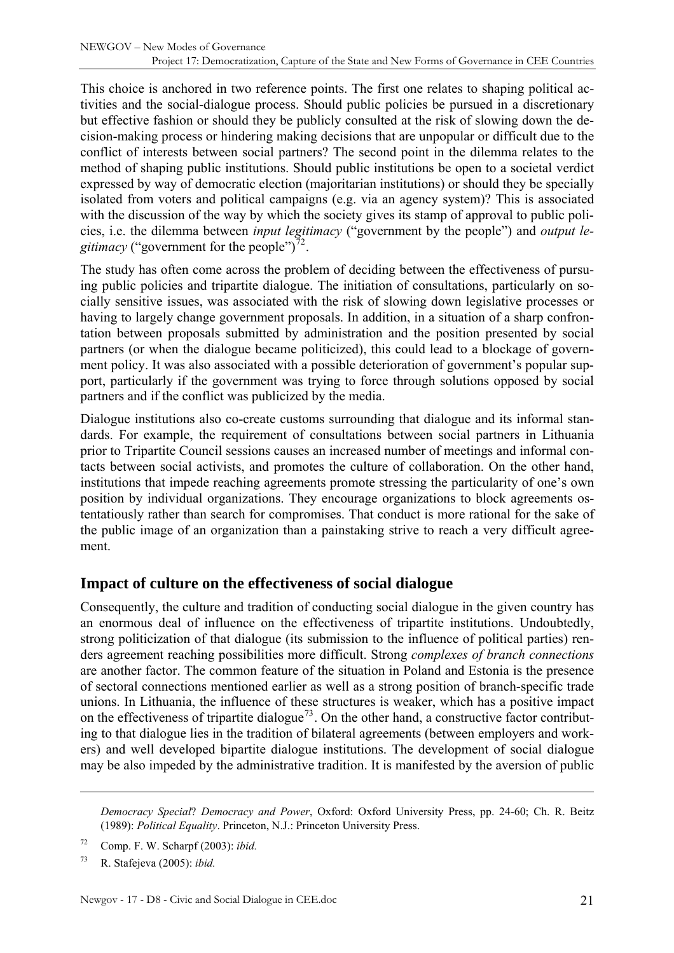<span id="page-20-0"></span>This choice is anchored in two reference points. The first one relates to shaping political activities and the social-dialogue process. Should public policies be pursued in a discretionary but effective fashion or should they be publicly consulted at the risk of slowing down the decision-making process or hindering making decisions that are unpopular or difficult due to the conflict of interests between social partners? The second point in the dilemma relates to the method of shaping public institutions. Should public institutions be open to a societal verdict expressed by way of democratic election (majoritarian institutions) or should they be specially isolated from voters and political campaigns (e.g. via an agency system)? This is associated with the discussion of the way by which the society gives its stamp of approval to public policies, i.e. the dilemma between *input legitimacy* ("government by the people") and *output legitimacy* ("government for the people")<sup>[72](#page-20-1)</sup>.

The study has often come across the problem of deciding between the effectiveness of pursuing public policies and tripartite dialogue. The initiation of consultations, particularly on socially sensitive issues, was associated with the risk of slowing down legislative processes or having to largely change government proposals. In addition, in a situation of a sharp confrontation between proposals submitted by administration and the position presented by social partners (or when the dialogue became politicized), this could lead to a blockage of government policy. It was also associated with a possible deterioration of government's popular support, particularly if the government was trying to force through solutions opposed by social partners and if the conflict was publicized by the media.

Dialogue institutions also co-create customs surrounding that dialogue and its informal standards. For example, the requirement of consultations between social partners in Lithuania prior to Tripartite Council sessions causes an increased number of meetings and informal contacts between social activists, and promotes the culture of collaboration. On the other hand, institutions that impede reaching agreements promote stressing the particularity of one's own position by individual organizations. They encourage organizations to block agreements ostentatiously rather than search for compromises. That conduct is more rational for the sake of the public image of an organization than a painstaking strive to reach a very difficult agreement.

#### **Impact of culture on the effectiveness of social dialogue**

Consequently, the culture and tradition of conducting social dialogue in the given country has an enormous deal of influence on the effectiveness of tripartite institutions. Undoubtedly, strong politicization of that dialogue (its submission to the influence of political parties) renders agreement reaching possibilities more difficult. Strong *complexes of branch connections* are another factor. The common feature of the situation in Poland and Estonia is the presence of sectoral connections mentioned earlier as well as a strong position of branch-specific trade unions. In Lithuania, the influence of these structures is weaker, which has a positive impact on the effectiveness of tripartite dialogue<sup>[73](#page-20-2)</sup>. On the other hand, a constructive factor contributing to that dialogue lies in the tradition of bilateral agreements (between employers and workers) and well developed bipartite dialogue institutions. The development of social dialogue may be also impeded by the administrative tradition. It is manifested by the aversion of public

*Democracy Special*? *Democracy and Power*, Oxford: Oxford University Press, pp. 24-60; Ch. R. Beitz (1989): *Political Equality*. Princeton, N.J.: Princeton University Press.

<span id="page-20-1"></span><sup>72</sup> Comp. F. W. Scharpf (2003): *ibid.* 

<span id="page-20-2"></span><sup>73</sup> R. Stafejeva (2005): *ibid.*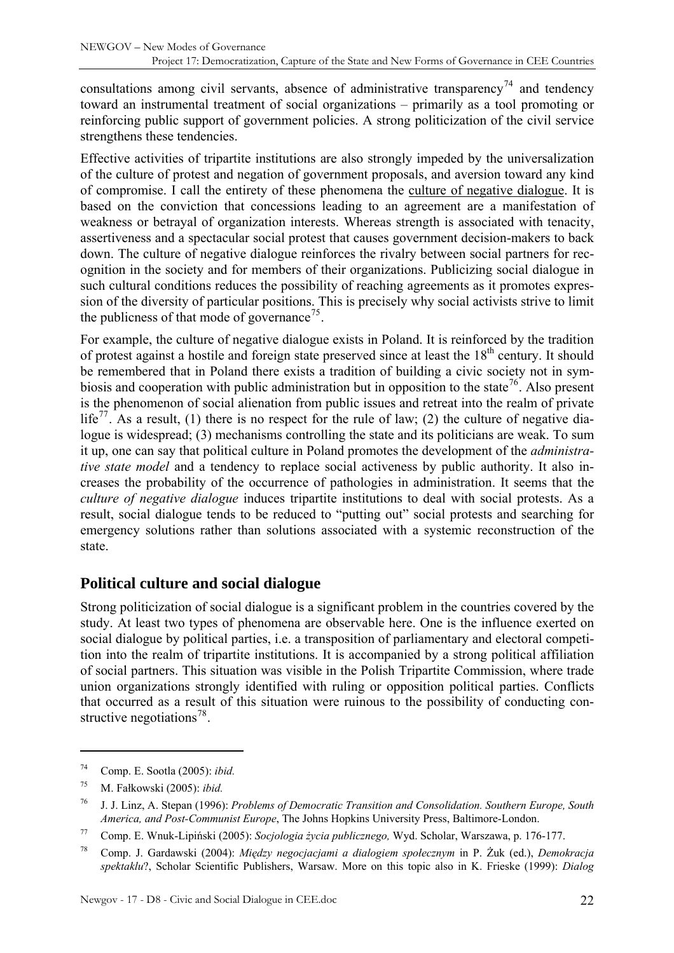<span id="page-21-0"></span>consultations among civil servants, absence of administrative transparency<sup>[74](#page-21-1)</sup> and tendency toward an instrumental treatment of social organizations – primarily as a tool promoting or reinforcing public support of government policies. A strong politicization of the civil service strengthens these tendencies.

Effective activities of tripartite institutions are also strongly impeded by the universalization of the culture of protest and negation of government proposals, and aversion toward any kind of compromise. I call the entirety of these phenomena the culture of negative dialogue. It is based on the conviction that concessions leading to an agreement are a manifestation of weakness or betrayal of organization interests. Whereas strength is associated with tenacity, assertiveness and a spectacular social protest that causes government decision-makers to back down. The culture of negative dialogue reinforces the rivalry between social partners for recognition in the society and for members of their organizations. Publicizing social dialogue in such cultural conditions reduces the possibility of reaching agreements as it promotes expression of the diversity of particular positions. This is precisely why social activists strive to limit the publicness of that mode of governance<sup>[75](#page-21-2)</sup>.

For example, the culture of negative dialogue exists in Poland. It is reinforced by the tradition of protest against a hostile and foreign state preserved since at least the 18<sup>th</sup> century. It should be remembered that in Poland there exists a tradition of building a civic society not in sym-biosis and cooperation with public administration but in opposition to the state<sup>[76](#page-21-3)</sup>. Also present is the phenomenon of social alienation from public issues and retreat into the realm of private life<sup>[77](#page-21-4)</sup>. As a result, (1) there is no respect for the rule of law; (2) the culture of negative dialogue is widespread; (3) mechanisms controlling the state and its politicians are weak. To sum it up, one can say that political culture in Poland promotes the development of the *administrative state model* and a tendency to replace social activeness by public authority. It also increases the probability of the occurrence of pathologies in administration. It seems that the *culture of negative dialogue* induces tripartite institutions to deal with social protests. As a result, social dialogue tends to be reduced to "putting out" social protests and searching for emergency solutions rather than solutions associated with a systemic reconstruction of the state.

## **Political culture and social dialogue**

Strong politicization of social dialogue is a significant problem in the countries covered by the study. At least two types of phenomena are observable here. One is the influence exerted on social dialogue by political parties, i.e. a transposition of parliamentary and electoral competition into the realm of tripartite institutions. It is accompanied by a strong political affiliation of social partners. This situation was visible in the Polish Tripartite Commission, where trade union organizations strongly identified with ruling or opposition political parties. Conflicts that occurred as a result of this situation were ruinous to the possibility of conducting con-structive negotiations<sup>[78](#page-21-5)</sup>.

<span id="page-21-1"></span><sup>74</sup> Comp. E. Sootla (2005): *ibid.*

<span id="page-21-2"></span><sup>75</sup> M. Fałkowski (2005): *ibid.* 

<span id="page-21-3"></span><sup>76</sup> J. J. Linz, A. Stepan (1996): *Problems of Democratic Transition and Consolidation. Southern Europe, South America, and Post-Communist Europe*, The Johns Hopkins University Press, Baltimore-London.

<span id="page-21-4"></span><sup>77</sup> Comp. E. Wnuk-Lipiński (2005): *Socjologia życia publicznego,* Wyd. Scholar, Warszawa, p. 176-177.

<span id="page-21-5"></span><sup>78</sup> Comp. J. Gardawski (2004): *Między negocjacjami a dialogiem społecznym* in P. Żuk (ed.), *Demokracja spektaklu*?, Scholar Scientific Publishers, Warsaw. More on this topic also in K. Frieske (1999): *Dialog*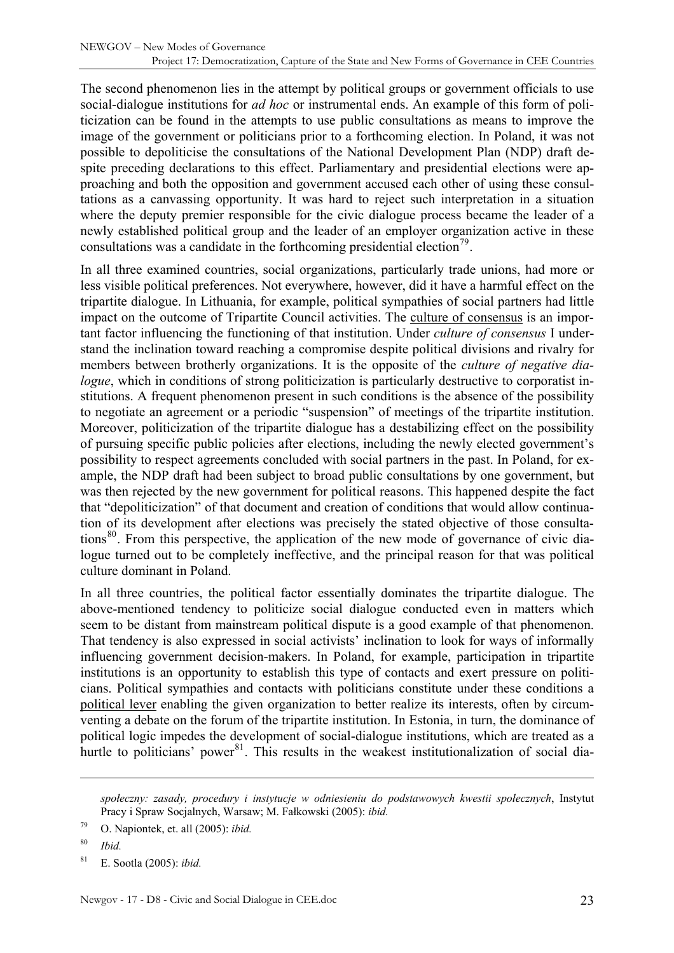The second phenomenon lies in the attempt by political groups or government officials to use social-dialogue institutions for *ad hoc* or instrumental ends. An example of this form of politicization can be found in the attempts to use public consultations as means to improve the image of the government or politicians prior to a forthcoming election. In Poland, it was not possible to depoliticise the consultations of the National Development Plan (NDP) draft despite preceding declarations to this effect. Parliamentary and presidential elections were approaching and both the opposition and government accused each other of using these consultations as a canvassing opportunity. It was hard to reject such interpretation in a situation where the deputy premier responsible for the civic dialogue process became the leader of a newly established political group and the leader of an employer organization active in these consultations was a candidate in the forthcoming presidential election<sup>[79](#page-22-0)</sup>.

In all three examined countries, social organizations, particularly trade unions, had more or less visible political preferences. Not everywhere, however, did it have a harmful effect on the tripartite dialogue. In Lithuania, for example, political sympathies of social partners had little impact on the outcome of Tripartite Council activities. The culture of consensus is an important factor influencing the functioning of that institution. Under *culture of consensus* I understand the inclination toward reaching a compromise despite political divisions and rivalry for members between brotherly organizations. It is the opposite of the *culture of negative dialogue*, which in conditions of strong politicization is particularly destructive to corporatist institutions. A frequent phenomenon present in such conditions is the absence of the possibility to negotiate an agreement or a periodic "suspension" of meetings of the tripartite institution. Moreover, politicization of the tripartite dialogue has a destabilizing effect on the possibility of pursuing specific public policies after elections, including the newly elected government's possibility to respect agreements concluded with social partners in the past. In Poland, for example, the NDP draft had been subject to broad public consultations by one government, but was then rejected by the new government for political reasons. This happened despite the fact that "depoliticization" of that document and creation of conditions that would allow continuation of its development after elections was precisely the stated objective of those consulta-tions<sup>[80](#page-22-1)</sup>. From this perspective, the application of the new mode of governance of civic dialogue turned out to be completely ineffective, and the principal reason for that was political culture dominant in Poland.

In all three countries, the political factor essentially dominates the tripartite dialogue. The above-mentioned tendency to politicize social dialogue conducted even in matters which seem to be distant from mainstream political dispute is a good example of that phenomenon. That tendency is also expressed in social activists' inclination to look for ways of informally influencing government decision-makers. In Poland, for example, participation in tripartite institutions is an opportunity to establish this type of contacts and exert pressure on politicians. Political sympathies and contacts with politicians constitute under these conditions a political lever enabling the given organization to better realize its interests, often by circumventing a debate on the forum of the tripartite institution. In Estonia, in turn, the dominance of political logic impedes the development of social-dialogue institutions, which are treated as a hurtle to politicians' power<sup>[81](#page-22-2)</sup>. This results in the weakest institutionalization of social dia-

*społeczny: zasady, procedury i instytucje w odniesieniu do podstawowych kwestii społecznych*, Instytut Pracy i Spraw Socjalnych, Warsaw; M. Fałkowski (2005): *ibid.*

<span id="page-22-0"></span><sup>79</sup> O. Napiontek, et. all (2005): *ibid.*

<span id="page-22-1"></span><sup>80</sup> *Ibid.*

<span id="page-22-2"></span><sup>81</sup> E. Sootla (2005): *ibid.*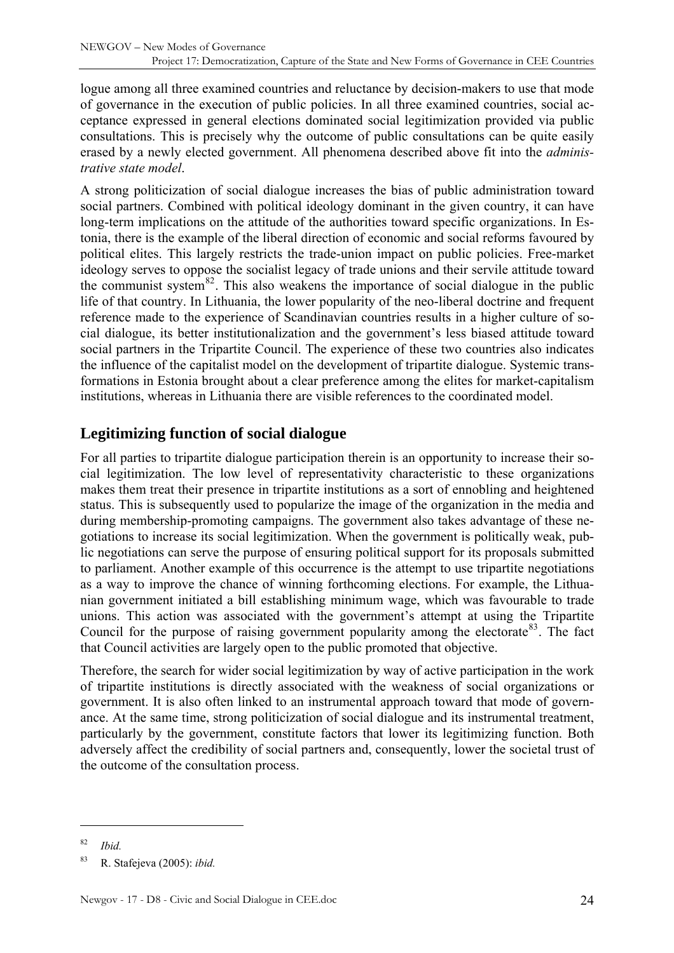<span id="page-23-0"></span>logue among all three examined countries and reluctance by decision-makers to use that mode of governance in the execution of public policies. In all three examined countries, social acceptance expressed in general elections dominated social legitimization provided via public consultations. This is precisely why the outcome of public consultations can be quite easily erased by a newly elected government. All phenomena described above fit into the *administrative state model*.

A strong politicization of social dialogue increases the bias of public administration toward social partners. Combined with political ideology dominant in the given country, it can have long-term implications on the attitude of the authorities toward specific organizations. In Estonia, there is the example of the liberal direction of economic and social reforms favoured by political elites. This largely restricts the trade-union impact on public policies. Free-market ideology serves to oppose the socialist legacy of trade unions and their servile attitude toward the communist system<sup>[82](#page-23-1)</sup>. This also weakens the importance of social dialogue in the public life of that country. In Lithuania, the lower popularity of the neo-liberal doctrine and frequent reference made to the experience of Scandinavian countries results in a higher culture of social dialogue, its better institutionalization and the government's less biased attitude toward social partners in the Tripartite Council. The experience of these two countries also indicates the influence of the capitalist model on the development of tripartite dialogue. Systemic transformations in Estonia brought about a clear preference among the elites for market-capitalism institutions, whereas in Lithuania there are visible references to the coordinated model.

## **Legitimizing function of social dialogue**

For all parties to tripartite dialogue participation therein is an opportunity to increase their social legitimization. The low level of representativity characteristic to these organizations makes them treat their presence in tripartite institutions as a sort of ennobling and heightened status. This is subsequently used to popularize the image of the organization in the media and during membership-promoting campaigns. The government also takes advantage of these negotiations to increase its social legitimization. When the government is politically weak, public negotiations can serve the purpose of ensuring political support for its proposals submitted to parliament. Another example of this occurrence is the attempt to use tripartite negotiations as a way to improve the chance of winning forthcoming elections. For example, the Lithuanian government initiated a bill establishing minimum wage, which was favourable to trade unions. This action was associated with the government's attempt at using the Tripartite Council for the purpose of raising government popularity among the electorate<sup>[83](#page-23-2)</sup>. The fact that Council activities are largely open to the public promoted that objective.

Therefore, the search for wider social legitimization by way of active participation in the work of tripartite institutions is directly associated with the weakness of social organizations or government. It is also often linked to an instrumental approach toward that mode of governance. At the same time, strong politicization of social dialogue and its instrumental treatment, particularly by the government, constitute factors that lower its legitimizing function. Both adversely affect the credibility of social partners and, consequently, lower the societal trust of the outcome of the consultation process.

<span id="page-23-1"></span><sup>82</sup> *Ibid.*

<span id="page-23-2"></span><sup>83</sup> R. Stafejeva (2005): *ibid.*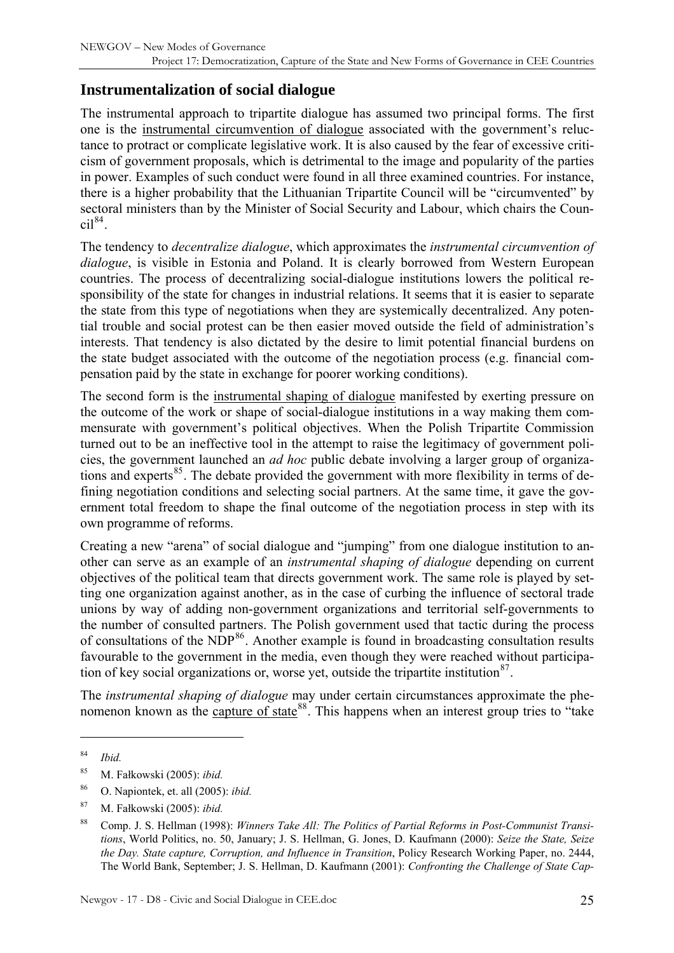## <span id="page-24-0"></span>**Instrumentalization of social dialogue**

The instrumental approach to tripartite dialogue has assumed two principal forms. The first one is the instrumental circumvention of dialogue associated with the government's reluctance to protract or complicate legislative work. It is also caused by the fear of excessive criticism of government proposals, which is detrimental to the image and popularity of the parties in power. Examples of such conduct were found in all three examined countries. For instance, there is a higher probability that the Lithuanian Tripartite Council will be "circumvented" by sectoral ministers than by the Minister of Social Security and Labour, which chairs the Coun- $\text{cil}^{84}$  $\text{cil}^{84}$  $\text{cil}^{84}$ .

The tendency to *decentralize dialogue*, which approximates the *instrumental circumvention of dialogue*, is visible in Estonia and Poland. It is clearly borrowed from Western European countries. The process of decentralizing social-dialogue institutions lowers the political responsibility of the state for changes in industrial relations. It seems that it is easier to separate the state from this type of negotiations when they are systemically decentralized. Any potential trouble and social protest can be then easier moved outside the field of administration's interests. That tendency is also dictated by the desire to limit potential financial burdens on the state budget associated with the outcome of the negotiation process (e.g. financial compensation paid by the state in exchange for poorer working conditions).

The second form is the instrumental shaping of dialogue manifested by exerting pressure on the outcome of the work or shape of social-dialogue institutions in a way making them commensurate with government's political objectives. When the Polish Tripartite Commission turned out to be an ineffective tool in the attempt to raise the legitimacy of government policies, the government launched an *ad hoc* public debate involving a larger group of organiza-tions and experts<sup>[85](#page-24-2)</sup>. The debate provided the government with more flexibility in terms of defining negotiation conditions and selecting social partners. At the same time, it gave the government total freedom to shape the final outcome of the negotiation process in step with its own programme of reforms.

Creating a new "arena" of social dialogue and "jumping" from one dialogue institution to another can serve as an example of an *instrumental shaping of dialogue* depending on current objectives of the political team that directs government work. The same role is played by setting one organization against another, as in the case of curbing the influence of sectoral trade unions by way of adding non-government organizations and territorial self-governments to the number of consulted partners. The Polish government used that tactic during the process of consultations of the  $NDP<sup>86</sup>$  $NDP<sup>86</sup>$  $NDP<sup>86</sup>$ . Another example is found in broadcasting consultation results favourable to the government in the media, even though they were reached without participation of key social organizations or, worse yet, outside the tripartite institution  $87$ .

The *instrumental shaping of dialogue* may under certain circumstances approximate the phenomenon known as the capture of state  $88$ . This happens when an interest group tries to "take"

<span id="page-24-1"></span><sup>84</sup> *Ibid.*

<span id="page-24-2"></span><sup>85</sup> M. Fałkowski (2005): *ibid.* 

<span id="page-24-3"></span><sup>86</sup> O. Napiontek, et. all (2005): *ibid.*

<span id="page-24-4"></span><sup>87</sup> M. Fałkowski (2005): *ibid.* 

<span id="page-24-5"></span><sup>88</sup> Comp. J. S. Hellman (1998): *Winners Take All: The Politics of Partial Reforms in Post-Communist Transitions*, World Politics, no. 50, January; J. S. Hellman, G. Jones, D. Kaufmann (2000): *Seize the State, Seize the Day. State capture, Corruption, and Influence in Transition*, Policy Research Working Paper, no. 2444, The World Bank, September; J. S. Hellman, D. Kaufmann (2001): *Confronting the Challenge of State Cap-*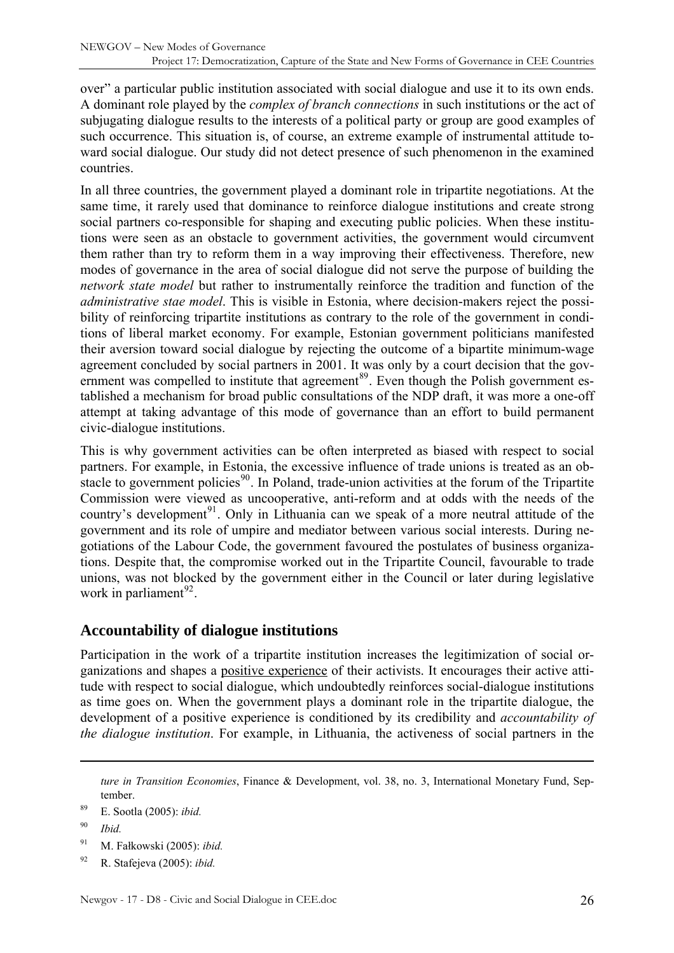<span id="page-25-0"></span>over" a particular public institution associated with social dialogue and use it to its own ends. A dominant role played by the *complex of branch connections* in such institutions or the act of subjugating dialogue results to the interests of a political party or group are good examples of such occurrence. This situation is, of course, an extreme example of instrumental attitude toward social dialogue. Our study did not detect presence of such phenomenon in the examined countries.

In all three countries, the government played a dominant role in tripartite negotiations. At the same time, it rarely used that dominance to reinforce dialogue institutions and create strong social partners co-responsible for shaping and executing public policies. When these institutions were seen as an obstacle to government activities, the government would circumvent them rather than try to reform them in a way improving their effectiveness. Therefore, new modes of governance in the area of social dialogue did not serve the purpose of building the *network state model* but rather to instrumentally reinforce the tradition and function of the *administrative stae model*. This is visible in Estonia, where decision-makers reject the possibility of reinforcing tripartite institutions as contrary to the role of the government in conditions of liberal market economy. For example, Estonian government politicians manifested their aversion toward social dialogue by rejecting the outcome of a bipartite minimum-wage agreement concluded by social partners in 2001. It was only by a court decision that the government was compelled to institute that agreement $89$ . Even though the Polish government established a mechanism for broad public consultations of the NDP draft, it was more a one-off attempt at taking advantage of this mode of governance than an effort to build permanent civic-dialogue institutions.

This is why government activities can be often interpreted as biased with respect to social partners. For example, in Estonia, the excessive influence of trade unions is treated as an ob-stacle to government policies<sup>[90](#page-25-2)</sup>. In Poland, trade-union activities at the forum of the Tripartite Commission were viewed as uncooperative, anti-reform and at odds with the needs of the country's development<sup>[91](#page-25-3)</sup>. Only in Lithuania can we speak of a more neutral attitude of the government and its role of umpire and mediator between various social interests. During negotiations of the Labour Code, the government favoured the postulates of business organizations. Despite that, the compromise worked out in the Tripartite Council, favourable to trade unions, was not blocked by the government either in the Council or later during legislative work in parliament $^{92}$  $^{92}$  $^{92}$ .

## **Accountability of dialogue institutions**

Participation in the work of a tripartite institution increases the legitimization of social organizations and shapes a positive experience of their activists. It encourages their active attitude with respect to social dialogue, which undoubtedly reinforces social-dialogue institutions as time goes on. When the government plays a dominant role in the tripartite dialogue, the development of a positive experience is conditioned by its credibility and *accountability of the dialogue institution*. For example, in Lithuania, the activeness of social partners in the

- <span id="page-25-3"></span>91 M. Fałkowski (2005): *ibid.*
- <span id="page-25-4"></span>92 R. Stafejeva (2005): *ibid.*

*ture in Transition Economies*, Finance & Development, vol. 38, no. 3, International Monetary Fund, September.

<span id="page-25-1"></span><sup>89</sup> E. Sootla (2005): *ibid.*

<span id="page-25-2"></span><sup>90</sup> *Ibid.*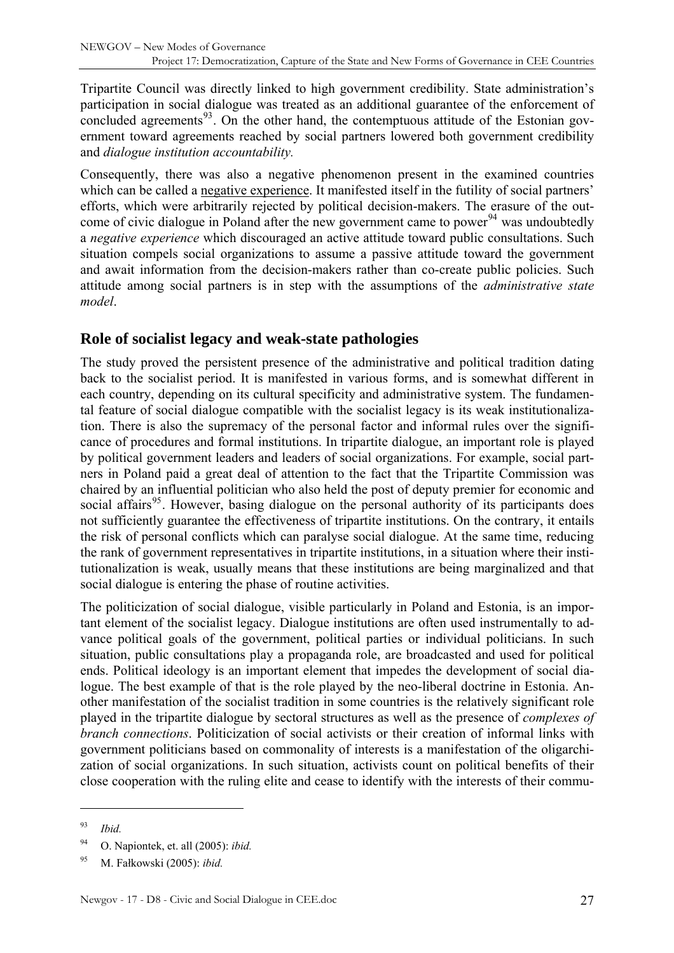<span id="page-26-0"></span>Tripartite Council was directly linked to high government credibility. State administration's participation in social dialogue was treated as an additional guarantee of the enforcement of concluded agreements $93$ . On the other hand, the contemptuous attitude of the Estonian government toward agreements reached by social partners lowered both government credibility and *dialogue institution accountability.* 

Consequently, there was also a negative phenomenon present in the examined countries which can be called a negative experience. It manifested itself in the futility of social partners' efforts, which were arbitrarily rejected by political decision-makers. The erasure of the out-come of civic dialogue in Poland after the new government came to power<sup>[94](#page-26-2)</sup> was undoubtedly a *negative experience* which discouraged an active attitude toward public consultations. Such situation compels social organizations to assume a passive attitude toward the government and await information from the decision-makers rather than co-create public policies. Such attitude among social partners is in step with the assumptions of the *administrative state model*.

#### **Role of socialist legacy and weak-state pathologies**

The study proved the persistent presence of the administrative and political tradition dating back to the socialist period. It is manifested in various forms, and is somewhat different in each country, depending on its cultural specificity and administrative system. The fundamental feature of social dialogue compatible with the socialist legacy is its weak institutionalization. There is also the supremacy of the personal factor and informal rules over the significance of procedures and formal institutions. In tripartite dialogue, an important role is played by political government leaders and leaders of social organizations. For example, social partners in Poland paid a great deal of attention to the fact that the Tripartite Commission was chaired by an influential politician who also held the post of deputy premier for economic and social affairs<sup>[95](#page-26-3)</sup>. However, basing dialogue on the personal authority of its participants does not sufficiently guarantee the effectiveness of tripartite institutions. On the contrary, it entails the risk of personal conflicts which can paralyse social dialogue. At the same time, reducing the rank of government representatives in tripartite institutions, in a situation where their institutionalization is weak, usually means that these institutions are being marginalized and that social dialogue is entering the phase of routine activities.

The politicization of social dialogue, visible particularly in Poland and Estonia, is an important element of the socialist legacy. Dialogue institutions are often used instrumentally to advance political goals of the government, political parties or individual politicians. In such situation, public consultations play a propaganda role, are broadcasted and used for political ends. Political ideology is an important element that impedes the development of social dialogue. The best example of that is the role played by the neo-liberal doctrine in Estonia. Another manifestation of the socialist tradition in some countries is the relatively significant role played in the tripartite dialogue by sectoral structures as well as the presence of *complexes of branch connections*. Politicization of social activists or their creation of informal links with government politicians based on commonality of interests is a manifestation of the oligarchization of social organizations. In such situation, activists count on political benefits of their close cooperation with the ruling elite and cease to identify with the interests of their commu-

<span id="page-26-1"></span><sup>93</sup> *Ibid.*

<span id="page-26-2"></span><sup>94</sup> O. Napiontek, et. all (2005): *ibid.*

<span id="page-26-3"></span><sup>95</sup> M. Fałkowski (2005): *ibid.*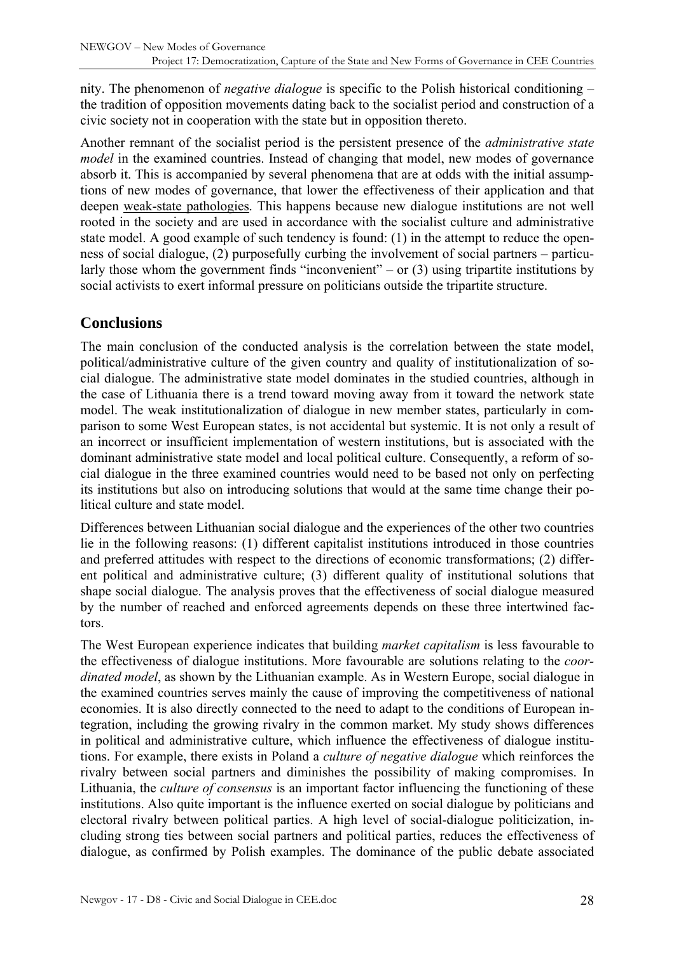<span id="page-27-0"></span>nity. The phenomenon of *negative dialogue* is specific to the Polish historical conditioning – the tradition of opposition movements dating back to the socialist period and construction of a civic society not in cooperation with the state but in opposition thereto.

Another remnant of the socialist period is the persistent presence of the *administrative state model* in the examined countries. Instead of changing that model, new modes of governance absorb it. This is accompanied by several phenomena that are at odds with the initial assumptions of new modes of governance, that lower the effectiveness of their application and that deepen weak-state pathologies. This happens because new dialogue institutions are not well rooted in the society and are used in accordance with the socialist culture and administrative state model. A good example of such tendency is found: (1) in the attempt to reduce the openness of social dialogue, (2) purposefully curbing the involvement of social partners – particularly those whom the government finds "inconvenient" – or  $(3)$  using tripartite institutions by social activists to exert informal pressure on politicians outside the tripartite structure.

## **Conclusions**

The main conclusion of the conducted analysis is the correlation between the state model, political/administrative culture of the given country and quality of institutionalization of social dialogue. The administrative state model dominates in the studied countries, although in the case of Lithuania there is a trend toward moving away from it toward the network state model. The weak institutionalization of dialogue in new member states, particularly in comparison to some West European states, is not accidental but systemic. It is not only a result of an incorrect or insufficient implementation of western institutions, but is associated with the dominant administrative state model and local political culture. Consequently, a reform of social dialogue in the three examined countries would need to be based not only on perfecting its institutions but also on introducing solutions that would at the same time change their political culture and state model.

Differences between Lithuanian social dialogue and the experiences of the other two countries lie in the following reasons: (1) different capitalist institutions introduced in those countries and preferred attitudes with respect to the directions of economic transformations; (2) different political and administrative culture; (3) different quality of institutional solutions that shape social dialogue. The analysis proves that the effectiveness of social dialogue measured by the number of reached and enforced agreements depends on these three intertwined factors.

The West European experience indicates that building *market capitalism* is less favourable to the effectiveness of dialogue institutions. More favourable are solutions relating to the *coordinated model*, as shown by the Lithuanian example. As in Western Europe, social dialogue in the examined countries serves mainly the cause of improving the competitiveness of national economies. It is also directly connected to the need to adapt to the conditions of European integration, including the growing rivalry in the common market. My study shows differences in political and administrative culture, which influence the effectiveness of dialogue institutions. For example, there exists in Poland a *culture of negative dialogue* which reinforces the rivalry between social partners and diminishes the possibility of making compromises. In Lithuania, the *culture of consensus* is an important factor influencing the functioning of these institutions. Also quite important is the influence exerted on social dialogue by politicians and electoral rivalry between political parties. A high level of social-dialogue politicization, including strong ties between social partners and political parties, reduces the effectiveness of dialogue, as confirmed by Polish examples. The dominance of the public debate associated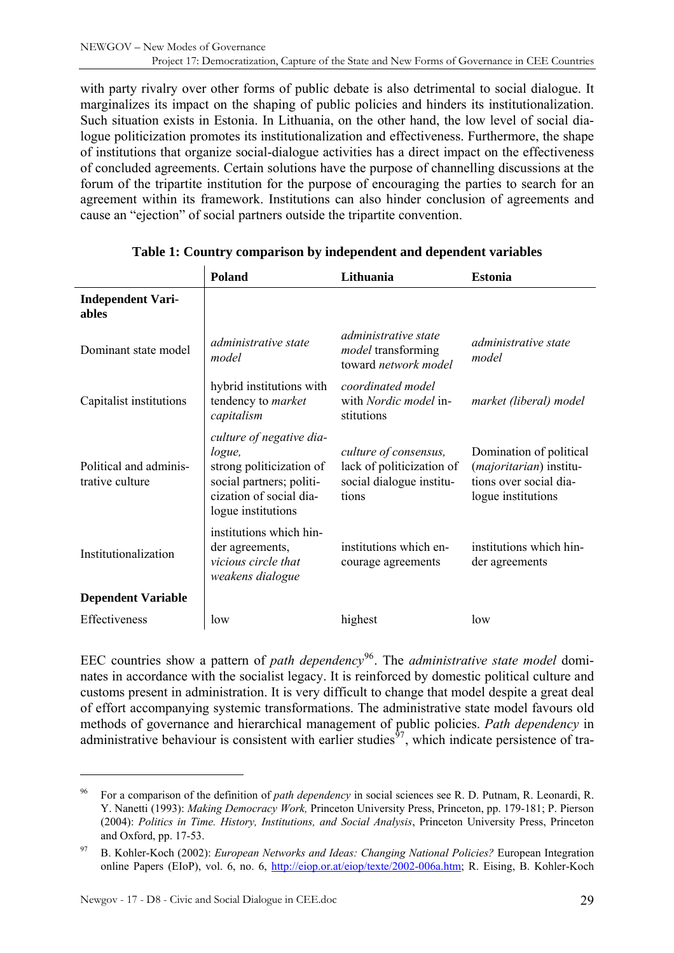<span id="page-28-0"></span>with party rivalry over other forms of public debate is also detrimental to social dialogue. It marginalizes its impact on the shaping of public policies and hinders its institutionalization. Such situation exists in Estonia. In Lithuania, on the other hand, the low level of social dialogue politicization promotes its institutionalization and effectiveness. Furthermore, the shape of institutions that organize social-dialogue activities has a direct impact on the effectiveness of concluded agreements. Certain solutions have the purpose of channelling discussions at the forum of the tripartite institution for the purpose of encouraging the parties to search for an agreement within its framework. Institutions can also hinder conclusion of agreements and cause an "ejection" of social partners outside the tripartite convention.

|                                           | Poland                                                                                                                                      | Lithuania                                                                               | <b>Estonia</b>                                                                                              |
|-------------------------------------------|---------------------------------------------------------------------------------------------------------------------------------------------|-----------------------------------------------------------------------------------------|-------------------------------------------------------------------------------------------------------------|
| <b>Independent Vari-</b><br>ables         |                                                                                                                                             |                                                                                         |                                                                                                             |
| Dominant state model                      | administrative state<br>model                                                                                                               | <i>administrative state</i><br><i>model</i> transforming<br>toward network model        | <i>administrative state</i><br>model                                                                        |
| Capitalist institutions                   | hybrid institutions with<br>tendency to <i>market</i><br>capitalism                                                                         | coordinated model<br>with Nordic model in-<br>stitutions                                | market (liberal) model                                                                                      |
| Political and adminis-<br>trative culture | culture of negative dia-<br>logue,<br>strong politicization of<br>social partners; politi-<br>cization of social dia-<br>logue institutions | culture of consensus,<br>lack of politicization of<br>social dialogue institu-<br>tions | Domination of political<br>( <i>majoritarian</i> ) institu-<br>tions over social dia-<br>logue institutions |
| Institutionalization                      | institutions which hin-<br>der agreements,<br>vicious circle that<br>weakens dialogue                                                       | institutions which en-<br>courage agreements                                            | institutions which hin-<br>der agreements                                                                   |
| <b>Dependent Variable</b>                 |                                                                                                                                             |                                                                                         |                                                                                                             |
| Effectiveness                             | low                                                                                                                                         | highest                                                                                 | low                                                                                                         |

#### **Table 1: Country comparison by independent and dependent variables**

EEC countries show a pattern of *path dependency*[96](#page-28-1). The *administrative state model* dominates in accordance with the socialist legacy. It is reinforced by domestic political culture and customs present in administration. It is very difficult to change that model despite a great deal of effort accompanying systemic transformations. The administrative state model favours old methods of governance and hierarchical management of public policies. *Path dependency* in administrative behaviour is consistent with earlier studies<sup> $97$ </sup>, which indicate persistence of tra-

<span id="page-28-1"></span><sup>96</sup> For a comparison of the definition of *path dependency* in social sciences see R. D. Putnam, R. Leonardi, R. Y. Nanetti (1993): *Making Democracy Work,* Princeton University Press, Princeton, pp. 179-181; P. Pierson (2004): *Politics in Time. History, Institutions, and Social Analysis*, Princeton University Press, Princeton and Oxford, pp. 17-53.

<span id="page-28-2"></span><sup>97</sup> B. Kohler-Koch (2002): *European Networks and Ideas: Changing National Policies?* European Integration online Papers (EIoP), vol. 6, no. 6, [http://eiop.or.at/eiop/texte/2002-006a.htm;](http://eiop.or.at/eiop/texte/2002-006a.htm) R. Eising, B. Kohler-Koch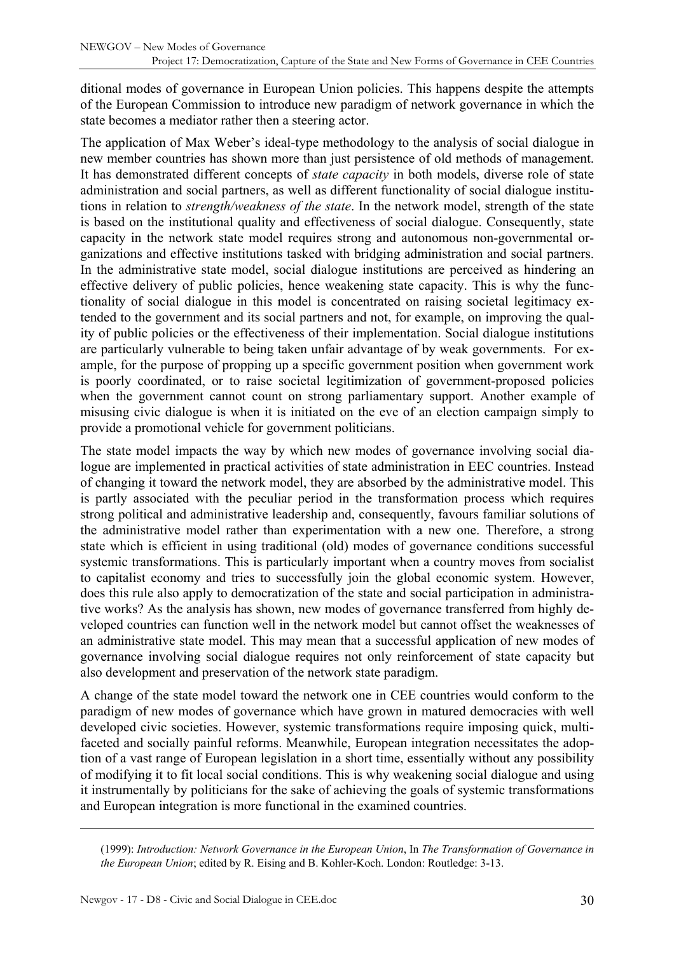ditional modes of governance in European Union policies. This happens despite the attempts of the European Commission to introduce new paradigm of network governance in which the state becomes a mediator rather then a steering actor.

The application of Max Weber's ideal-type methodology to the analysis of social dialogue in new member countries has shown more than just persistence of old methods of management. It has demonstrated different concepts of *state capacity* in both models, diverse role of state administration and social partners, as well as different functionality of social dialogue institutions in relation to *strength/weakness of the state*. In the network model, strength of the state is based on the institutional quality and effectiveness of social dialogue. Consequently, state capacity in the network state model requires strong and autonomous non-governmental organizations and effective institutions tasked with bridging administration and social partners. In the administrative state model, social dialogue institutions are perceived as hindering an effective delivery of public policies, hence weakening state capacity. This is why the functionality of social dialogue in this model is concentrated on raising societal legitimacy extended to the government and its social partners and not, for example, on improving the quality of public policies or the effectiveness of their implementation. Social dialogue institutions are particularly vulnerable to being taken unfair advantage of by weak governments. For example, for the purpose of propping up a specific government position when government work is poorly coordinated, or to raise societal legitimization of government-proposed policies when the government cannot count on strong parliamentary support. Another example of misusing civic dialogue is when it is initiated on the eve of an election campaign simply to provide a promotional vehicle for government politicians.

The state model impacts the way by which new modes of governance involving social dialogue are implemented in practical activities of state administration in EEC countries. Instead of changing it toward the network model, they are absorbed by the administrative model. This is partly associated with the peculiar period in the transformation process which requires strong political and administrative leadership and, consequently, favours familiar solutions of the administrative model rather than experimentation with a new one. Therefore, a strong state which is efficient in using traditional (old) modes of governance conditions successful systemic transformations. This is particularly important when a country moves from socialist to capitalist economy and tries to successfully join the global economic system. However, does this rule also apply to democratization of the state and social participation in administrative works? As the analysis has shown, new modes of governance transferred from highly developed countries can function well in the network model but cannot offset the weaknesses of an administrative state model. This may mean that a successful application of new modes of governance involving social dialogue requires not only reinforcement of state capacity but also development and preservation of the network state paradigm.

A change of the state model toward the network one in CEE countries would conform to the paradigm of new modes of governance which have grown in matured democracies with well developed civic societies. However, systemic transformations require imposing quick, multifaceted and socially painful reforms. Meanwhile, European integration necessitates the adoption of a vast range of European legislation in a short time, essentially without any possibility of modifying it to fit local social conditions. This is why weakening social dialogue and using it instrumentally by politicians for the sake of achieving the goals of systemic transformations and European integration is more functional in the examined countries.

(1999): *Introduction: Network Governance in the European Union*, In *The Transformation of Governance in the European Union*; edited by R. Eising and B. Kohler-Koch. London: Routledge: 3-13.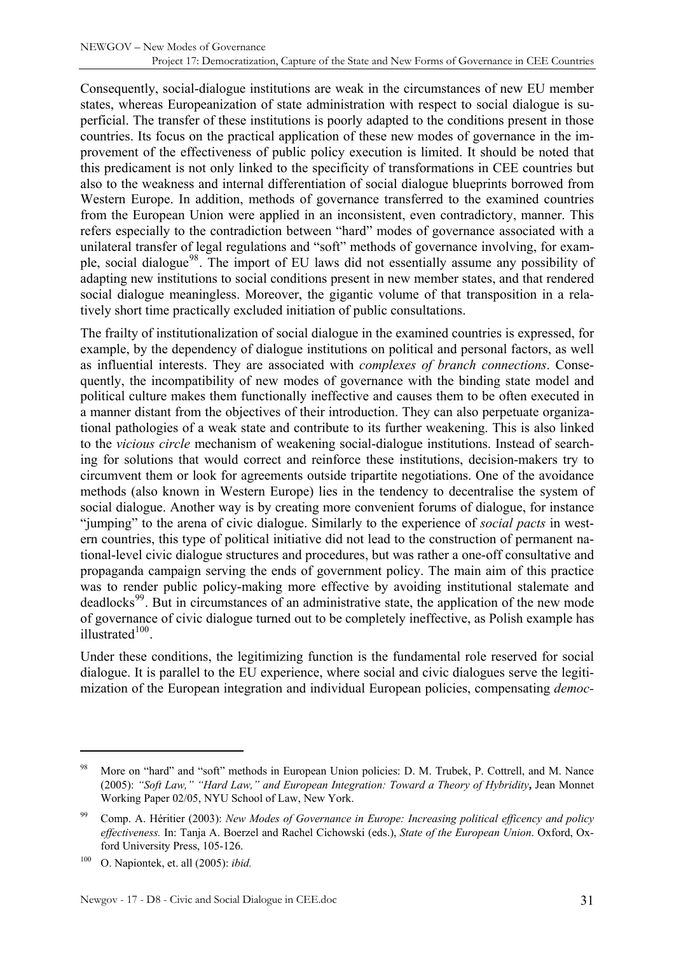Consequently, social-dialogue institutions are weak in the circumstances of new EU member states, whereas Europeanization of state administration with respect to social dialogue is superficial. The transfer of these institutions is poorly adapted to the conditions present in those countries. Its focus on the practical application of these new modes of governance in the improvement of the effectiveness of public policy execution is limited. It should be noted that this predicament is not only linked to the specificity of transformations in CEE countries but also to the weakness and internal differentiation of social dialogue blueprints borrowed from Western Europe. In addition, methods of governance transferred to the examined countries from the European Union were applied in an inconsistent, even contradictory, manner. This refers especially to the contradiction between "hard" modes of governance associated with a unilateral transfer of legal regulations and "soft" methods of governance involving, for example, social dialogue[98](#page-30-0). The import of EU laws did not essentially assume any possibility of adapting new institutions to social conditions present in new member states, and that rendered social dialogue meaningless. Moreover, the gigantic volume of that transposition in a relatively short time practically excluded initiation of public consultations.

The frailty of institutionalization of social dialogue in the examined countries is expressed, for example, by the dependency of dialogue institutions on political and personal factors, as well as influential interests. They are associated with *complexes of branch connections*. Consequently, the incompatibility of new modes of governance with the binding state model and political culture makes them functionally ineffective and causes them to be often executed in a manner distant from the objectives of their introduction. They can also perpetuate organizational pathologies of a weak state and contribute to its further weakening. This is also linked to the *vicious circle* mechanism of weakening social-dialogue institutions. Instead of searching for solutions that would correct and reinforce these institutions, decision-makers try to circumvent them or look for agreements outside tripartite negotiations. One of the avoidance methods (also known in Western Europe) lies in the tendency to decentralise the system of social dialogue. Another way is by creating more convenient forums of dialogue, for instance "jumping" to the arena of civic dialogue. Similarly to the experience of *social pacts* in western countries, this type of political initiative did not lead to the construction of permanent national-level civic dialogue structures and procedures, but was rather a one-off consultative and propaganda campaign serving the ends of government policy. The main aim of this practice was to render public policy-making more effective by avoiding institutional stalemate and deadlocks<sup>[99](#page-30-1)</sup>. But in circumstances of an administrative state, the application of the new mode of governance of civic dialogue turned out to be completely ineffective, as Polish example has illustrated $100$ .

Under these conditions, the legitimizing function is the fundamental role reserved for social dialogue. It is parallel to the EU experience, where social and civic dialogues serve the legitimization of the European integration and individual European policies, compensating *democ-*

<span id="page-30-0"></span><sup>98</sup> More on "hard" and "soft" methods in European Union policies: D. M. Trubek, P. Cottrell, and M. Nance (2005): *"Soft Law," "Hard Law," and European Integration: Toward a Theory of Hybridity***,** Jean Monnet Working Paper 02/05, NYU School of Law, New York.

<span id="page-30-1"></span><sup>99</sup> Comp. A. Héritier (2003): *New Modes of Governance in Europe: Increasing political efficency and policy effectiveness.* In: Tanja A. Boerzel and Rachel Cichowski (eds.), *State of the European Union*. Oxford, Oxford University Press, 105-126.

<span id="page-30-2"></span><sup>100</sup> O. Napiontek, et. all (2005): *ibid.*